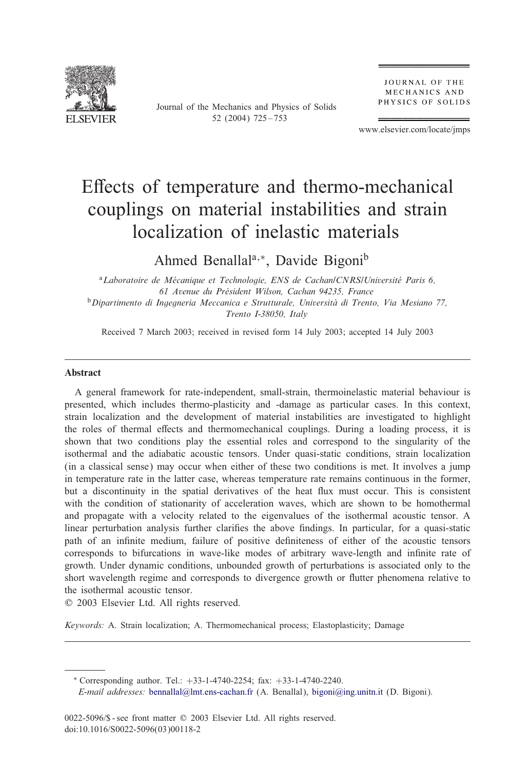

Journal of the Mechanics and Physics of Solids 52 (2004) 725 – 753

**JOURNAL OF THE** MECHANICS AND PHYSICS OF SOLIDS

www.elsevier.com/locate/jmps

# Effects of temperature and thermo-mechanical couplings on material instabilities and strain localization of inelastic materials

# Ahmed Benallala;∗, Davide Bigonib

<sup>a</sup>Laboratoire de Mécanique et Technologie, ENS de Cachan/CNRS/Université Paris 6, *61Avenue du President Wilson, Cachan 94235, France* <sup>b</sup>*Dipartimento di Ingegneria Meccanica e Strutturale, Universita di Trento, Via Mesiano 77, - Trento I-38050, Italy*

Received 7 March 2003; received in revised form14 July 2003; accepted 14 July 2003

#### Abstract

A general framework for rate-independent, small-strain, thermoinelastic material behaviour is presented, which includes thermo-plasticity and -damage as particular cases. In this context, strain localization and the development of material instabilities are investigated to highlight the roles of thermal effects and thermomechanical couplings. During a loading process, it is shown that two conditions play the essential roles and correspond to the singularity of the isothermal and the adiabatic acoustic tensors. Under quasi-static conditions, strain localization (in a classical sense) may occur when either of these two conditions is met. It involves a jump in temperature rate in the latter case, whereas temperature rate remains continuous in the former, but a discontinuity in the spatial derivatives of the heat flux must occur. This is consistent with the condition of stationarity of acceleration waves, which are shown to be homothermal and propagate with a velocity related to the eigenvalues of the isothermal acoustic tensor. A linear perturbation analysis further clarifies the above findings. In particular, for a quasi-static path of an infinite medium, failure of positive definiteness of either of the acoustic tensors corresponds to bifurcations in wave-like modes of arbitrary wave-length and infinite rate of growth. Under dynamic conditions, unbounded growth of perturbations is associated only to the short wavelength regime and corresponds to divergence growth or 6utter phenomena relative to the isothermal acoustic tensor.

? 2003 Elsevier Ltd. All rights reserved.

*Keywords:* A. Strain localization; A. Thermomechanical process; Elastoplasticity; Damage

∗ Corresponding author. Tel.: +33-1-4740-2254; fax: +33-1-4740-2240.

*E-mail addresses:* [bennallal@lmt.ens-cachan.fr](mailto:bennallal@lmt.ens-cachan.fr) (A. Benallal), [bigoni@ing.unitn.it](mailto:bigoni@ing.unitn.it) (D. Bigoni).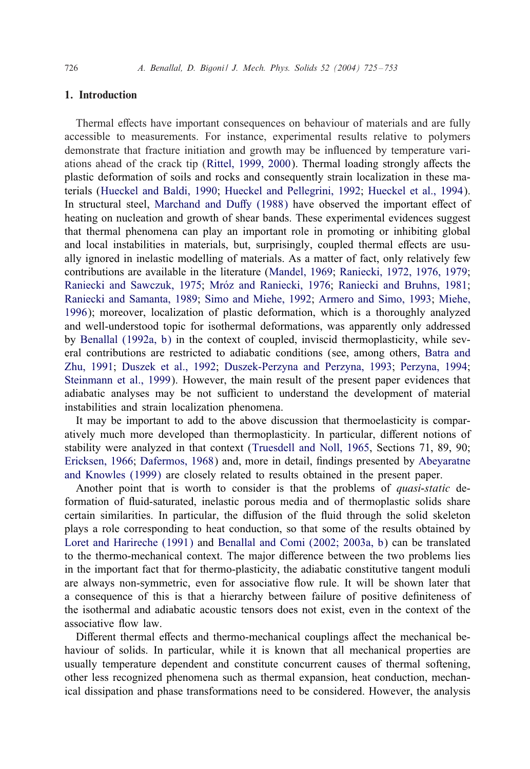### 1. Introduction

Thermal effects have important consequences on behaviour of materials and are fully accessible to measurements. For instance, experimental results relative to polymers demonstrate that fracture initiation and growth may be influenced by temperature vari-ations ahead of the crack tip [\(Rittel, 1999, 2000\)](#page-28-0). Thermal loading strongly affects the plastic deformation of soils and rocks and consequently strain localization in these materials [\(Hueckel and Baldi, 1990;](#page-27-0) [Hueckel and Pellegrini, 1992;](#page-27-0) [Hueckel et al., 1994\)](#page-27-0). In structural steel, Marchand and Duffy (1988) have observed the important effect of heating on nucleation and growth of shear bands. These experimental evidences suggest that thermal phenomena can play an important role in promoting or inhibiting global and local instabilities in materials, but, surprisingly, coupled thermal effects are usually ignored in inelastic modelling of materials. As a matter of fact, only relatively few contributions are available in the literature [\(Mandel, 1969;](#page-27-0) [Raniecki, 1972, 1976, 1979;](#page-27-0) [Raniecki and Sawczuk, 1975;](#page-28-0) Mróz and Raniecki, 1976; [Raniecki and Bruhns, 1981;](#page-28-0) [Raniecki and Samanta, 1989;](#page-28-0) [Simo and Miehe, 1992;](#page-28-0) [Armero and Simo, 1993;](#page-26-0) [Miehe,](#page-27-0) [1996\)](#page-27-0); moreover, localization of plastic deformation, which is a thoroughly analyzed and well-understood topic for isothermal deformations, was apparently only addressed by [Benallal \(1992a, b\)](#page-26-0) in the context of coupled, inviscid thermoplasticity, while several contributions are restricted to adiabatic conditions (see, among others, [Batra and](#page-26-0) [Zhu, 1991;](#page-26-0) [Duszek et al., 1992;](#page-27-0) [Duszek-Perzyna and Perzyna, 1993;](#page-27-0) [Perzyna, 1994;](#page-27-0) [Steinmann et al., 1999\)](#page-28-0). However, the main result of the present paper evidences that adiabatic analyses may be not sufficient to understand the development of material instabilities and strain localization phenomena.

It may be important to add to the above discussion that thermoelasticity is comparatively much more developed than thermoplasticity. In particular, different notions of stability were analyzed in that context [\(Truesdell and Noll, 1965,](#page-28-0) Sections 71, 89, 90; [Ericksen, 1966;](#page-27-0) [Dafermos, 1968\)](#page-27-0) and, more in detail, findings presented by [Abeyaratne](#page-26-0) [and Knowles \(1999\)](#page-26-0) are closely related to results obtained in the present paper.

Another point that is worth to consider is that the problems of *quasi-static* deformation of fluid-saturated, inelastic porous media and of thermoplastic solids share certain similarities. In particular, the diffusion of the fluid through the solid skeleton plays a role corresponding to heat conduction, so that some of the results obtained by [Loret and Harireche \(1991\)](#page-27-0) and [Benallal and Comi \(2002; 2003a, b\)](#page-26-0) can be translated to the thermo-mechanical context. The major difference between the two problems lies in the important fact that for thermo-plasticity, the adiabatic constitutive tangent moduli are always non-symmetric, even for associative 6ow rule. It will be shown later that a consequence of this is that a hierarchy between failure of positive definiteness of the isothermal and adiabatic acoustic tensors does not exist, even in the context of the associative flow law.

Different thermal effects and thermo-mechanical couplings affect the mechanical behaviour of solids. In particular, while it is known that all mechanical properties are usually temperature dependent and constitute concurrent causes of thermal softening, other less recognized phenomena such as thermal expansion, heat conduction, mechanical dissipation and phase transformations need to be considered. However, the analysis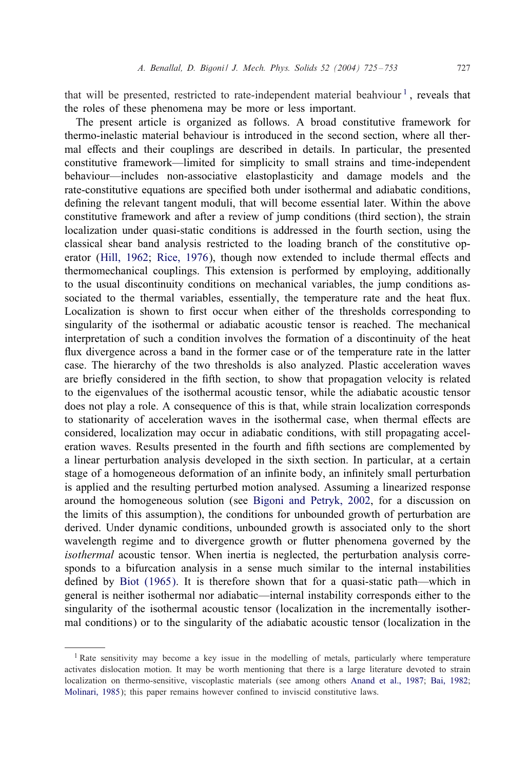that will be presented, restricted to rate-independent material beahviour  $\frac{1}{1}$ , reveals that the roles of these phenomena may be more or less important.

The present article is organized as follows. A broad constitutive framework for thermo-inelastic material behaviour is introduced in the second section, where all thermal effects and their couplings are described in details. In particular, the presented constitutive framework—limited for simplicity to small strains and time-independent behaviour—includes non-associative elastoplasticity and damage models and the rate-constitutive equations are specified both under isothermal and adiabatic conditions, defining the relevant tangent moduli, that will become essential later. Within the above constitutive framework and after a review of jump conditions (third section), the strain localization under quasi-static conditions is addressed in the fourth section, using the classical shear band analysis restricted to the loading branch of the constitutive op-erator [\(Hill, 1962;](#page-27-0) [Rice, 1976\)](#page-28-0), though now extended to include thermal effects and thermomechanical couplings. This extension is performed by employing, additionally to the usual discontinuity conditions on mechanical variables, the jump conditions associated to the thermal variables, essentially, the temperature rate and the heat flux. Localization is shown to first occur when either of the thresholds corresponding to singularity of the isothermal or adiabatic acoustic tensor is reached. The mechanical interpretation of such a condition involves the formation of a discontinuity of the heat flux divergence across a band in the former case or of the temperature rate in the latter case. The hierarchy of the two thresholds is also analyzed. Plastic acceleration waves are briefly considered in the fifth section, to show that propagation velocity is related to the eigenvalues of the isothermal acoustic tensor, while the adiabatic acoustic tensor does not play a role. A consequence of this is that, while strain localization corresponds to stationarity of acceleration waves in the isothermal case, when thermal effects are considered, localization may occur in adiabatic conditions, with still propagating acceleration waves. Results presented in the fourth and fifth sections are complemented by a linear perturbation analysis developed in the sixth section. In particular, at a certain stage of a homogeneous deformation of an infinite body, an infinitely small perturbation is applied and the resulting perturbed motion analysed. Assuming a linearized response around the homogeneous solution (see [Bigoni and Petryk, 2002,](#page-27-0) for a discussion on the limits of this assumption), the conditions for unbounded growth of perturbation are derived. Under dynamic conditions, unbounded growth is associated only to the short wavelength regime and to divergence growth or flutter phenomena governed by the *isothermal* acoustic tensor. When inertia is neglected, the perturbation analysis corresponds to a bifurcation analysis in a sense much similar to the internal instabilities defined by Biot  $(1965)$ . It is therefore shown that for a quasi-static path—which in general is neither isothermal nor adiabatic—internal instability corresponds either to the singularity of the isothermal acoustic tensor (localization in the incrementally isothermal conditions) or to the singularity of the adiabatic acoustic tensor (localization in the

<sup>&</sup>lt;sup>1</sup> Rate sensitivity may become a key issue in the modelling of metals, particularly where temperature activates dislocation motion. It may be worth mentioning that there is a large literature devoted to strain localization on thermo-sensitive, viscoplastic materials (see among others [Anand et al., 1987;](#page-26-0) [Bai, 1982;](#page-26-0) [Molinari, 1985\)](#page-27-0); this paper remains however confined to inviscid constitutive laws.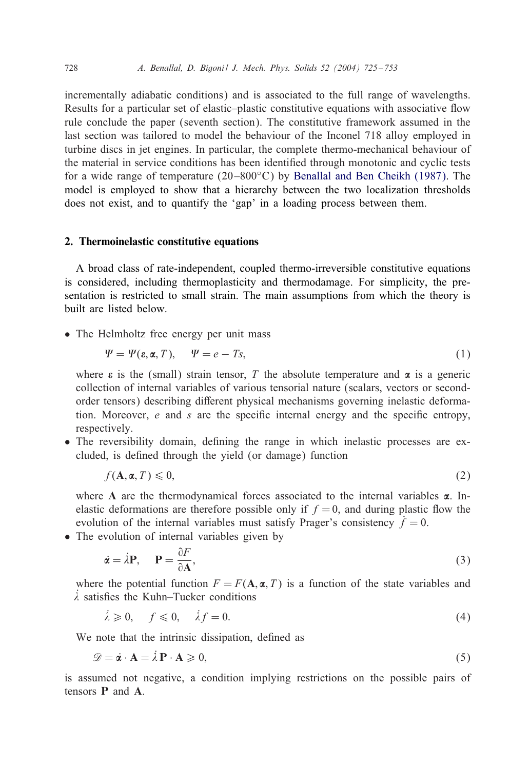<span id="page-3-0"></span>incrementally adiabatic conditions) and is associated to the full range of wavelengths. Results for a particular set of elastic–plastic constitutive equations with associative 6ow rule conclude the paper (seventh section). The constitutive framework assumed in the last section was tailored to model the behaviour of the Inconel 718 alloy employed in turbine discs in jet engines. In particular, the complete thermo-mechanical behaviour of the material in service conditions has been identified through monotonic and cyclic tests for a wide range of temperature  $(20-800 °C)$  by [Benallal and Ben Cheikh \(1987\).](#page-26-0) The model is employed to show that a hierarchy between the two localization thresholds does not exist, and to quantify the 'gap' in a loading process between them.

#### 2. Thermoinelastic constitutive equations

A broad class of rate-independent, coupled thermo-irreversible constitutive equations is considered, including thermoplasticity and thermodamage. For simplicity, the presentation is restricted to small strain. The main assumptions from which the theory is built are listed below.

• The Helmholtz free energy per unit mass

$$
\Psi = \Psi(\varepsilon, \alpha, T), \quad \Psi = e - Ts,\tag{1}
$$

where  $\varepsilon$  is the (small) strain tensor, T the absolute temperature and  $\alpha$  is a generic collection of internal variables of various tensorial nature (scalars, vectors or secondorder tensors) describing different physical mechanisms governing inelastic deformation. Moreover,  $e$  and  $s$  are the specific internal energy and the specific entropy, respectively.

• The reversibility domain, defining the range in which inelastic processes are excluded, is defined through the yield (or damage) function

$$
f(\mathbf{A}, \mathbf{\alpha}, T) \leq 0,\tag{2}
$$

where A are the thermodynamical forces associated to the internal variables  $\alpha$ . Inelastic deformations are therefore possible only if  $f = 0$ , and during plastic flow the evolution of the internal variables must satisfy Prager's consistency  $\hat{f} = 0$ .

• The evolution of internal variables given by

$$
\dot{\alpha} = \dot{\lambda} \mathbf{P}, \quad \mathbf{P} = \frac{\partial F}{\partial \mathbf{A}}, \tag{3}
$$

where the potential function  $F = F(A, \alpha, T)$  is a function of the state variables and  $\lambda$  satisfies the Kuhn–Tucker conditions  $\lambda$  satisfies the Kuhn–Tucker conditions

$$
\dot{\lambda} \geqslant 0, \quad f \leqslant 0, \quad \dot{\lambda}f = 0. \tag{4}
$$

We note that the intrinsic dissipation, defined as

$$
\mathcal{D} = \dot{\alpha} \cdot \mathbf{A} = \dot{\lambda} \mathbf{P} \cdot \mathbf{A} \ge 0,\tag{5}
$$

is assumed not negative, a condition implying restrictions on the possible pairs of tensors P and A.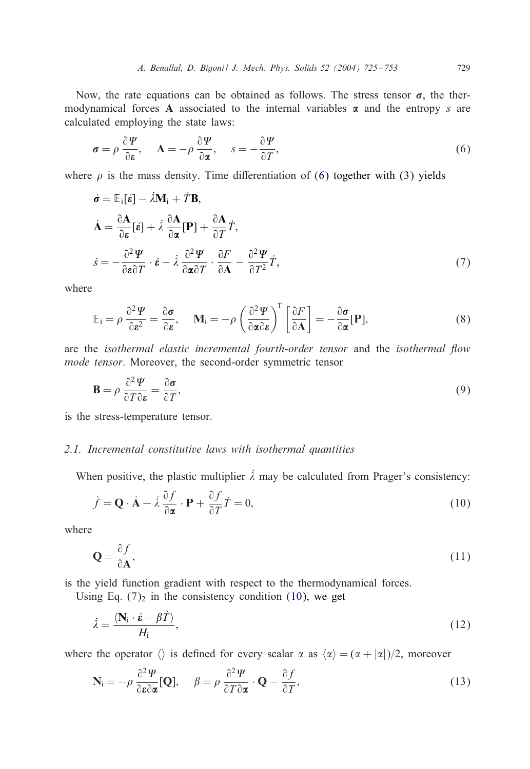<span id="page-4-0"></span>Now, the rate equations can be obtained as follows. The stress tensor  $\sigma$ , the thermodynamical forces A associated to the internal variables  $\alpha$  and the entropy s are calculated employing the state laws:

$$
\boldsymbol{\sigma} = \rho \, \frac{\partial \varPsi}{\partial \boldsymbol{\varepsilon}}, \quad \mathbf{A} = -\rho \, \frac{\partial \varPsi}{\partial \boldsymbol{\alpha}}, \quad s = -\frac{\partial \varPsi}{\partial T}, \tag{6}
$$

where  $\rho$  is the mass density. Time differentiation of (6) together with [\(3\)](#page-3-0) yields

$$
\dot{\sigma} = \mathbb{E}_{i}[\dot{\mathbf{\varepsilon}}] - \dot{\lambda} \mathbf{M}_{i} + \dot{T} \mathbf{B},
$$
\n
$$
\dot{\mathbf{A}} = \frac{\partial \mathbf{A}}{\partial \mathbf{\varepsilon}} [\dot{\mathbf{\varepsilon}}] + \dot{\lambda} \frac{\partial \mathbf{A}}{\partial \mathbf{\alpha}} [\mathbf{P}] + \frac{\partial \mathbf{A}}{\partial T} \dot{T},
$$
\n
$$
\dot{s} = -\frac{\partial^{2} \Psi}{\partial \mathbf{\varepsilon} \partial T} \cdot \dot{\mathbf{\varepsilon}} - \dot{\lambda} \frac{\partial^{2} \Psi}{\partial \mathbf{\alpha} \partial T} \cdot \frac{\partial F}{\partial \mathbf{A}} - \frac{\partial^{2} \Psi}{\partial T^{2}} \dot{T},
$$
\n(7)

where

$$
\mathbb{E}_{\mathbf{i}} = \rho \, \frac{\partial^2 \Psi}{\partial \boldsymbol{\varepsilon}^2} = \frac{\partial \boldsymbol{\sigma}}{\partial \boldsymbol{\varepsilon}}, \quad \mathbf{M}_{\mathbf{i}} = -\rho \left( \frac{\partial^2 \Psi}{\partial \boldsymbol{\alpha} \partial \boldsymbol{\varepsilon}} \right)^{\mathrm{T}} \left[ \frac{\partial F}{\partial \mathbf{A}} \right] = -\frac{\partial \boldsymbol{\sigma}}{\partial \boldsymbol{\alpha}} [\mathbf{P}], \tag{8}
$$

are the *isothermal elastic incremental fourth-order tensor* and the *isothermal flow mode tensor*. Moreover, the second-order symmetric tensor

$$
\mathbf{B} = \rho \, \frac{\partial^2 \Psi}{\partial T \partial \varepsilon} = \frac{\partial \sigma}{\partial T},\tag{9}
$$

is the stress-temperature tensor.

# *2.1. Incremental constitutive laws with isothermal quantities*

When positive, the plastic multiplier  $\lambda$  may be calculated from Prager's consistency:

$$
\dot{f} = \mathbf{Q} \cdot \dot{\mathbf{A}} + \dot{\lambda} \frac{\partial f}{\partial \mathbf{\alpha}} \cdot \mathbf{P} + \frac{\partial f}{\partial T} \dot{T} = 0,
$$
\n(10)

where

$$
\mathbf{Q} = \frac{\partial f}{\partial \mathbf{A}},\tag{11}
$$

is the yield function gradient with respect to the thermodynamical forces.

Using Eq.  $(7)_2$  in the consistency condition (10), we get

$$
\dot{\lambda} = \frac{\langle \mathbf{N}_i \cdot \dot{\boldsymbol{\varepsilon}} - \beta \dot{T} \rangle}{H_i},\tag{12}
$$

where the operator  $\langle \rangle$  is defined for every scalar  $\alpha$  as  $\langle \alpha \rangle = (\alpha + |\alpha|)/2$ , moreover

$$
\mathbf{N}_{\mathbf{i}} = -\rho \frac{\partial^2 \Psi}{\partial \varepsilon \partial \mathbf{\alpha}} [\mathbf{Q}], \quad \beta = \rho \frac{\partial^2 \Psi}{\partial T \partial \mathbf{\alpha}} \cdot \mathbf{Q} - \frac{\partial f}{\partial T}, \tag{13}
$$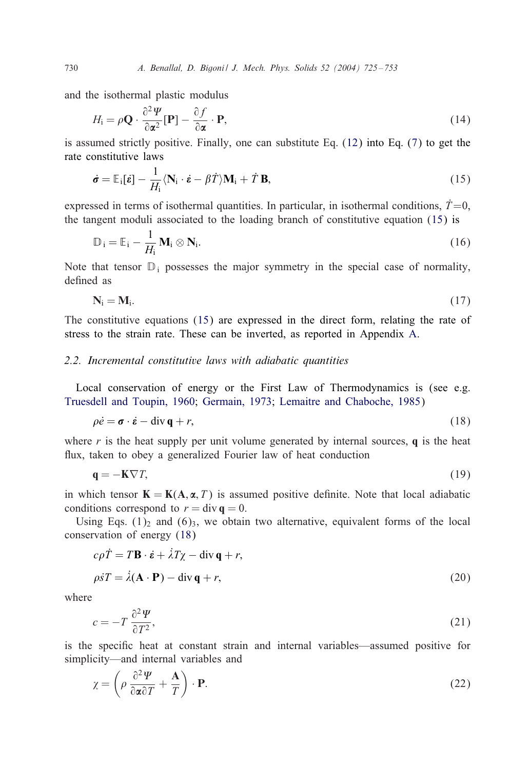and the isothermal plastic modulus

$$
H_{\rm i} = \rho \mathbf{Q} \cdot \frac{\partial^2 \Psi}{\partial \mathbf{\alpha}^2} [\mathbf{P}] - \frac{\partial f}{\partial \mathbf{\alpha}} \cdot \mathbf{P},\tag{14}
$$

is assumed strictly positive. Finally, one can substitute Eq. [\(12\)](#page-4-0) into Eq. [\(7\)](#page-4-0) to get the rate constitutive laws

$$
\dot{\boldsymbol{\sigma}} = \mathbb{E}_{i}[\dot{\boldsymbol{\varepsilon}}] - \frac{1}{H_{i}} \langle \mathbf{N}_{i} \cdot \dot{\boldsymbol{\varepsilon}} - \beta \dot{T} \rangle \mathbf{M}_{i} + \dot{T} \mathbf{B}, \qquad (15)
$$

expressed in terms of isothermal quantities. In particular, in isothermal conditions,  $\ddot{T}=0$ , the tangent moduli associated to the loading branch of constitutive equation (15) is

$$
\mathbb{D}_{i} = \mathbb{E}_{i} - \frac{1}{H_{i}} \mathbf{M}_{i} \otimes \mathbf{N}_{i}.
$$
 (16)

Note that tensor  $\mathbb{D}_i$  possesses the major symmetry in the special case of normality, defined as

$$
N_i = M_i. \tag{17}
$$

The constitutive equations (15) are expressed in the direct form, relating the rate of stress to the strain rate. These can be inverted, as reported in Appendix [A.](#page-24-0)

### *2.2. Incremental constitutive laws with adiabatic quantities*

Local conservation of energy or the First Law of Thermodynamics is (see e.g. [Truesdell and Toupin, 1960;](#page-28-0) [Germain, 1973;](#page-27-0) [Lemaitre and Chaboche, 1985\)](#page-27-0)

$$
\rho \dot{e} = \boldsymbol{\sigma} \cdot \dot{\boldsymbol{\epsilon}} - \text{div} \, \mathbf{q} + r,\tag{18}
$$

where r is the heat supply per unit volume generated by internal sources,  $q$  is the heat flux, taken to obey a generalized Fourier law of heat conduction

$$
\mathbf{q} = -\mathbf{K}\nabla T,\tag{19}
$$

in which tensor  $K = K(A, \alpha, T)$  is assumed positive definite. Note that local adiabatic conditions correspond to  $r = \text{div } \mathbf{q} = 0$ .

Using Eqs. (1)<sub>2</sub> and (6)<sub>3</sub>, we obtain two alternative, equivalent forms of the local conservation of energy (18)

$$
c\rho \dot{T} = T\mathbf{B} \cdot \dot{\mathbf{\varepsilon}} + \dot{\lambda} T\chi - \text{div}\,\mathbf{q} + r,
$$
  
\n
$$
\rho \dot{s}T = \dot{\lambda}(\mathbf{A} \cdot \mathbf{P}) - \text{div}\,\mathbf{q} + r,
$$
\n(20)

where

$$
c = -T \frac{\partial^2 \Psi}{\partial T^2},\tag{21}
$$

is the specific heat at constant strain and internal variables—assumed positive for simplicity—and internal variables and

$$
\chi = \left(\rho \, \frac{\partial^2 \Psi}{\partial \mathbf{\alpha} \partial T} + \frac{\mathbf{A}}{T}\right) \cdot \mathbf{P}.\tag{22}
$$

<span id="page-5-0"></span>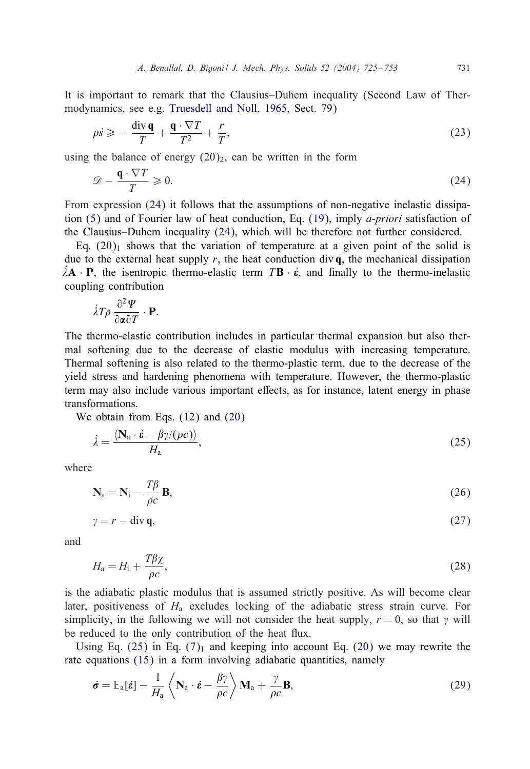<span id="page-6-0"></span>It is important to remark that the Clausius–Duhem inequality (Second Law of Thermodynamics, see e.g. [Truesdell and Noll, 1965,](#page-28-0) Sect. 79)

$$
\rho \dot{s} \geqslant -\frac{\text{div}\,\mathbf{q}}{T} + \frac{\mathbf{q} \cdot \nabla T}{T^2} + \frac{r}{T},\tag{23}
$$

using the balance of energy  $(20)_2$ , can be written in the form

$$
\mathcal{D} - \frac{\mathbf{q} \cdot \nabla T}{T} \geqslant 0. \tag{24}
$$

From expression (24) it follows that the assumptions of non-negative inelastic dissipation [\(5\)](#page-3-0) and of Fourier law of heat conduction, Eq. [\(19\)](#page-5-0), imply *a-priori* satisfaction of the Clausius–Duheminequality (24), which will be therefore not further considered.

Eq.  $(20)_1$  shows that the variation of temperature at a given point of the solid is due to the external heat supply  $r$ , the heat conduction div  $q$ , the mechanical dissipation  $\lambda \mathbf{A} \cdot \mathbf{P}$ , the isentropic thermo-elastic term  $T\mathbf{B} \cdot \dot{\mathbf{\varepsilon}}$ , and finally to the thermo-inelastic coupling contribution

$$
\lambda T\rho \frac{\partial^2 \Psi}{\partial \mathbf{\alpha} \partial T} \cdot \mathbf{P}.
$$

The thermo-elastic contribution includes in particular thermal expansion but also thermal softening due to the decrease of elastic modulus with increasing temperature. Thermal softening is also related to the thermo-plastic term, due to the decrease of the yield stress and hardening phenomena with temperature. However, the thermo-plastic term may also include various important effects, as for instance, latent energy in phase transformations.

We obtain from Eqs.  $(12)$  and  $(20)$ 

$$
\dot{\lambda} = \frac{\langle \mathbf{N}_a \cdot \dot{\mathbf{z}} - \beta \gamma / (\rho c) \rangle}{H_a},\tag{25}
$$

where

$$
\mathbf{N}_a = \mathbf{N}_i - \frac{T\beta}{\rho c} \mathbf{B},\tag{26}
$$

$$
\gamma = r - \operatorname{div} \mathbf{q},\tag{27}
$$

and

$$
H_{\rm a} = H_{\rm i} + \frac{T\beta \chi}{\rho c},\tag{28}
$$

is the adiabatic plastic modulus that is assumed strictly positive. As will become clear later, positiveness of  $H_a$  excludes locking of the adiabatic stress strain curve. For simplicity, in the following we will not consider the heat supply,  $r = 0$ , so that  $\gamma$  will be reduced to the only contribution of the heat flux.

Using Eq.  $(25)$  in Eq.  $(7)_1$  and keeping into account Eq.  $(20)$  we may rewrite the rate equations [\(15\)](#page-5-0) in a form involving adiabatic quantities, namely

$$
\dot{\boldsymbol{\sigma}} = \mathbb{E}_{a}[\dot{\boldsymbol{\epsilon}}] - \frac{1}{H_a} \left\langle \mathbf{N}_a \cdot \dot{\boldsymbol{\epsilon}} - \frac{\beta \gamma}{\rho c} \right\rangle \mathbf{M}_a + \frac{\gamma}{\rho c} \mathbf{B},\tag{29}
$$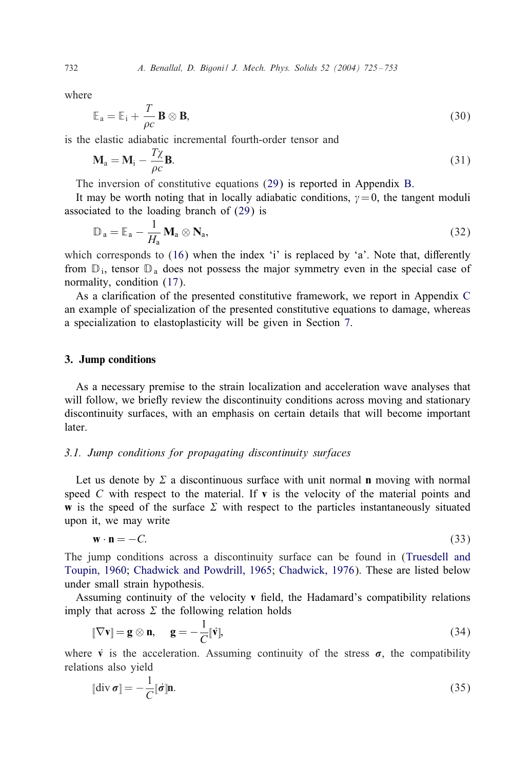where

$$
\mathbb{E}_{a} = \mathbb{E}_{i} + \frac{T}{\rho c} \mathbf{B} \otimes \mathbf{B},\tag{30}
$$

is the elastic adiabatic incremental fourth-order tensor and

$$
\mathbf{M}_{\rm a} = \mathbf{M}_{\rm i} - \frac{T \chi}{\rho c} \mathbf{B}.
$$
\n(31)

The inversion of constitutive equations [\(29\)](#page-6-0) is reported in Appendix [B.](#page-24-0)

It may be worth noting that in locally adiabatic conditions,  $\gamma = 0$ , the tangent moduli associated to the loading branch of [\(29\)](#page-6-0) is

$$
\mathbb{D}_a = \mathbb{E}_a - \frac{1}{H_a} \mathbf{M}_a \otimes \mathbf{N}_a, \tag{32}
$$

which corresponds to  $(16)$  when the index 'i' is replaced by 'a'. Note that, differently from  $\mathbb{D}_i$ , tensor  $\mathbb{D}_i$  does not possess the major symmetry even in the special case of normality, condition [\(17\)](#page-5-0).

As a clarification of the presented constitutive framework, we report in Appendix [C](#page-25-0) an example of specialization of the presented constitutive equations to damage, whereas a specialization to elastoplasticity will be given in Section [7.](#page-16-0)

#### 3. Jump conditions

As a necessary premise to the strain localization and acceleration wave analyses that will follow, we briefly review the discontinuity conditions across moving and stationary discontinuity surfaces, with an emphasis on certain details that will become important later.

# *3.1. Jump conditions for propagating discontinuity surfaces*

Let us denote by  $\Sigma$  a discontinuous surface with unit normal **n** moving with normal speed  $C$  with respect to the material. If  $\bf{v}$  is the velocity of the material points and w is the speed of the surface  $\Sigma$  with respect to the particles instantaneously situated upon it, we may write

$$
\mathbf{w} \cdot \mathbf{n} = -C. \tag{33}
$$

The jump conditions across a discontinuity surface can be found in [\(Truesdell and](#page-28-0) [Toupin, 1960;](#page-28-0) [Chadwick and Powdrill, 1965;](#page-27-0) [Chadwick, 1976\)](#page-27-0). These are listed below under small strain hypothesis.

Assuming continuity of the velocity  $\bf{v}$  field, the Hadamard's compatibility relations imply that across  $\Sigma$  the following relation holds

$$
\[\nabla \mathbf{v}\] = \mathbf{g} \otimes \mathbf{n}, \quad \mathbf{g} = -\frac{1}{C}[\mathbf{v}],\tag{34}
$$

where v is the acceleration. Assuming continuity of the stress  $\sigma$ , the compatibility relations also yield

$$
\left[\operatorname{div} \boldsymbol{\sigma}\right] = -\frac{1}{C} \left[\dot{\boldsymbol{\sigma}}\right] \mathbf{n}.\tag{35}
$$

<span id="page-7-0"></span>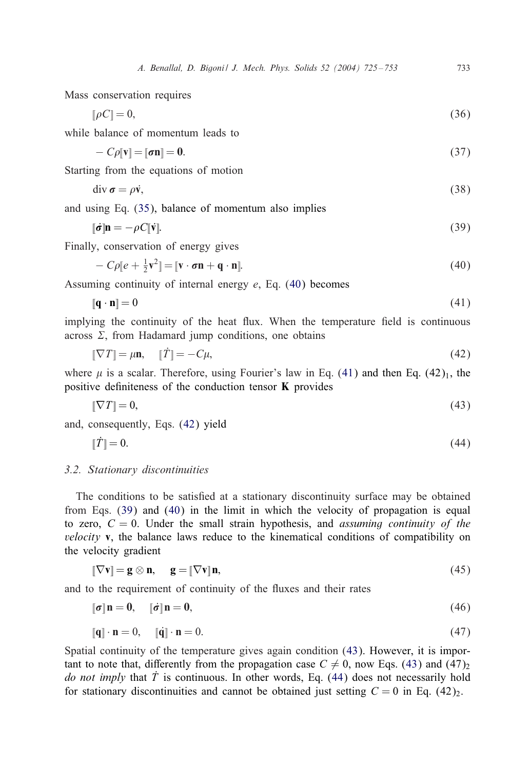<span id="page-8-0"></span>Mass conservation requires

 $\lbrack \lbrack \rho C \rbrack = 0,$  $C = 0,$  (36)

while balance of momentum leads to

$$
-C\rho[\mathbf{v}]=[\boldsymbol{\sigma}\mathbf{n}]=\mathbf{0}.\tag{37}
$$

Starting from the equations of motion

$$
\operatorname{div} \boldsymbol{\sigma} = \rho \dot{\mathbf{v}},\tag{38}
$$

and using Eq. [\(35\)](#page-7-0), balance of momentum also implies

$$
[\vec{\sigma}]\mathbf{n} = -\rho C[\vec{\mathbf{v}}].\tag{39}
$$

Finally, conservation of energy gives

$$
-C\rho[e + \frac{1}{2}\mathbf{v}^2] = [\mathbf{v} \cdot \boldsymbol{\sigma}\mathbf{n} + \mathbf{q} \cdot \mathbf{n}].
$$
 (40)

Assuming continuity of internal energy e, Eq. (40) becomes

$$
[\mathbf{q} \cdot \mathbf{n}] = 0 \tag{41}
$$

implying the continuity of the heat flux. When the temperature field is continuous across  $\Sigma$ , from Hadamard jump conditions, one obtains

$$
\[\nabla T\] = \mu \mathbf{n}, \quad \[\dot{T}\] = -C\mu,\tag{42}
$$

where  $\mu$  is a scalar. Therefore, using Fourier's law in Eq. (41) and then Eq. (42)<sub>1</sub>, the positive definiteness of the conduction tensor  $\bf{K}$  provides

$$
[\![\nabla T]\!]=0,\tag{43}
$$

and, consequently, Eqs. (42) yield

$$
\lbrack\!\lbrack\dot{T}\rbrack\!\rbrack = 0. \tag{44}
$$

### *3.2. Stationary discontinuities*

The conditions to be satisfied at a stationary discontinuity surface may be obtained from Eqs.  $(39)$  and  $(40)$  in the limit in which the velocity of propagation is equal to zero, C = 0. Under the small strain hypothesis, and *assuming continuity of the velocity* **v**, the balance laws reduce to the kinematical conditions of compatibility on the velocity gradient

$$
\llbracket \nabla \mathbf{v} \rrbracket = \mathbf{g} \otimes \mathbf{n}, \quad \mathbf{g} = \llbracket \nabla \mathbf{v} \rrbracket \mathbf{n}, \tag{45}
$$

and to the requirement of continuity of the fluxes and their rates

$$
[\![\sigma]\!] \mathbf{n} = \mathbf{0}, \quad [\![\dot{\sigma}]\!] \mathbf{n} = \mathbf{0}, \tag{46}
$$

$$
[\mathbf{q}] \cdot \mathbf{n} = 0, \quad [\dot{\mathbf{q}}] \cdot \mathbf{n} = 0. \tag{47}
$$

Spatial continuity of the temperature gives again condition (43). However, it is important to note that, differently from the propagation case  $C \neq 0$ , now Eqs. (43) and (47)<sub>2</sub> *do not imply* that  $\dot{T}$  is continuous. In other words, Eq. (44) does not necessarily hold for stationary discontinuities and cannot be obtained just setting  $C = 0$  in Eq. (42).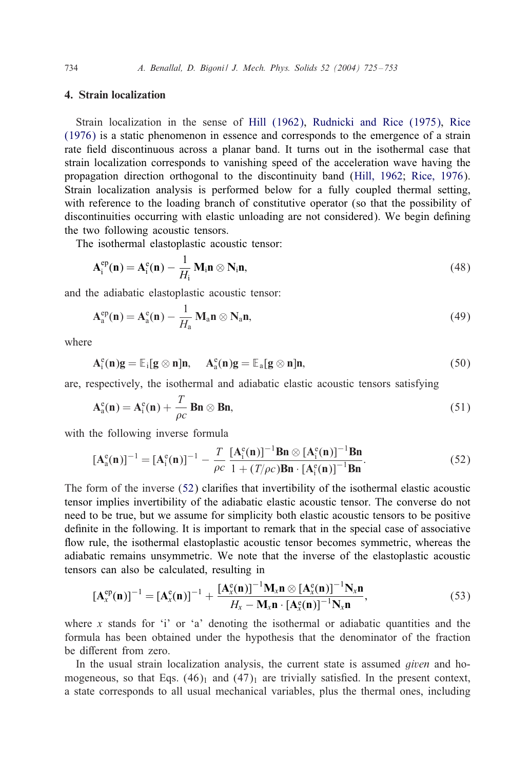#### <span id="page-9-0"></span>4. Strain localization

Strain localization in the sense of [Hill \(1962\),](#page-27-0) [Rudnicki and Rice \(1975\),](#page-28-0) [Rice](#page-28-0) [\(1976\)](#page-28-0) is a static phenomenon in essence and corresponds to the emergence of a strain rate field discontinuous across a planar band. It turns out in the isothermal case that strain localization corresponds to vanishing speed of the acceleration wave having the propagation direction orthogonal to the discontinuity band [\(Hill, 1962;](#page-27-0) [Rice, 1976\)](#page-28-0). Strain localization analysis is performed below for a fully coupled thermal setting, with reference to the loading branch of constitutive operator (so that the possibility of discontinuities occurring with elastic unloading are not considered). We begin defining the two following acoustic tensors.

The isothermal elastoplastic acoustic tensor:

$$
\mathbf{A}_i^{\text{ep}}(\mathbf{n}) = \mathbf{A}_i^{\text{e}}(\mathbf{n}) - \frac{1}{H_i} \mathbf{M}_i \mathbf{n} \otimes \mathbf{N}_i \mathbf{n},\tag{48}
$$

and the adiabatic elastoplastic acoustic tensor:

$$
\mathbf{A}_a^{\text{ep}}(\mathbf{n}) = \mathbf{A}_a^{\text{e}}(\mathbf{n}) - \frac{1}{H_a} \mathbf{M}_a \mathbf{n} \otimes \mathbf{N}_a \mathbf{n},\tag{49}
$$

where

$$
A_i^e(n)g = \mathbb{E}_i[g \otimes n]n, \quad A_a^e(n)g = \mathbb{E}_a[g \otimes n]n,
$$
\n(50)

are, respectively, the isothermal and adiabatic elastic acoustic tensors satisfying

$$
\mathbf{A}_a^e(\mathbf{n}) = \mathbf{A}_i^e(\mathbf{n}) + \frac{T}{\rho c} \mathbf{B} \mathbf{n} \otimes \mathbf{B} \mathbf{n},\tag{51}
$$

with the following inverse formula

$$
\left[\mathbf{A}_{\mathbf{a}}^{\mathbf{e}}(\mathbf{n})\right]^{-1} = \left[\mathbf{A}_{\mathbf{i}}^{\mathbf{e}}(\mathbf{n})\right]^{-1} - \frac{T}{\rho c} \frac{\left[\mathbf{A}_{\mathbf{i}}^{\mathbf{e}}(\mathbf{n})\right]^{-1} \mathbf{B} \mathbf{n} \otimes \left[\mathbf{A}_{\mathbf{i}}^{\mathbf{e}}(\mathbf{n})\right]^{-1} \mathbf{B} \mathbf{n}}{\left[1 + \left(\frac{T}{\rho c}\right) \mathbf{B} \mathbf{n} \cdot \left[\mathbf{A}_{\mathbf{i}}^{\mathbf{e}}(\mathbf{n})\right]^{-1} \mathbf{B} \mathbf{n}}.\tag{52}
$$

The form of the inverse  $(52)$  clarifies that invertibility of the isothermal elastic acoustic tensor implies invertibility of the adiabatic elastic acoustic tensor. The converse do not need to be true, but we assume for simplicity both elastic acoustic tensors to be positive definite in the following. It is important to remark that in the special case of associative flow rule, the isothermal elastoplastic acoustic tensor becomes symmetric, whereas the adiabatic remains unsymmetric. We note that the inverse of the elastoplastic acoustic tensors can also be calculated, resulting in

$$
\left[\mathbf{A}_x^{\text{ep}}(\mathbf{n})\right]^{-1} = \left[\mathbf{A}_x^{\text{e}}(\mathbf{n})\right]^{-1} + \frac{\left[\mathbf{A}_x^{\text{e}}(\mathbf{n})\right]^{-1}\mathbf{M}_x\mathbf{n} \otimes \left[\mathbf{A}_x^{\text{e}}(\mathbf{n})\right]^{-1}\mathbf{N}_x\mathbf{n}}{H_x - \mathbf{M}_x\mathbf{n} \cdot \left[\mathbf{A}_x^{\text{e}}(\mathbf{n})\right]^{-1}\mathbf{N}_x\mathbf{n}},\tag{53}
$$

where x stands for 'i' or 'a' denoting the isothermal or adiabatic quantities and the formula has been obtained under the hypothesis that the denominator of the fraction be different from zero.

In the usual strain localization analysis, the current state is assumed *given* and homogeneous, so that Eqs.  $(46)_1$  and  $(47)_1$  are trivially satisfied. In the present context, a state corresponds to all usual mechanical variables, plus the thermal ones, including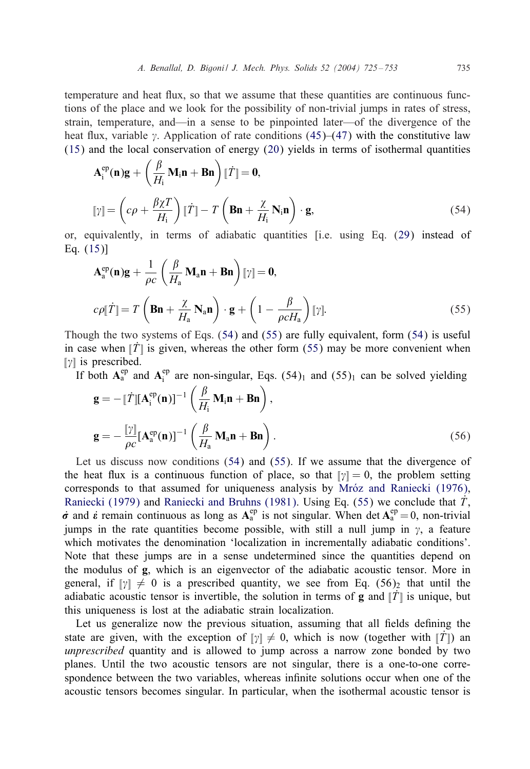<span id="page-10-0"></span>temperature and heat flux, so that we assume that these quantities are continuous functions of the place and we look for the possibility of non-trivial jumps in rates of stress, strain, temperature, and—in a sense to be pinpointed later—of the divergence of the heat flux, variable y. Application of rate conditions  $(45)$ – $(47)$  with the constitutive law [\(15\)](#page-5-0) and the local conservation of energy [\(20\)](#page-5-0) yields in terms of isothermal quantities

$$
\mathbf{A}_{i}^{\text{ep}}(\mathbf{n})\mathbf{g} + \left(\frac{\beta}{H_{i}}\mathbf{M}_{i}\mathbf{n} + \mathbf{B}\mathbf{n}\right)[\dot{T}] = \mathbf{0},
$$
\n
$$
[\![\gamma]\!] = \left(c\rho + \frac{\beta\chi T}{H_{i}}\right)[\dot{T}]\!] - T\left(\mathbf{B}\mathbf{n} + \frac{\chi}{H_{i}}\mathbf{N}_{i}\mathbf{n}\right) \cdot \mathbf{g},\tag{54}
$$

or, equivalently, in terms of adiabatic quantities [i.e. using Eq. [\(29\)](#page-6-0) instead of Eq. [\(15\)](#page-5-0)]

$$
\mathbf{A}_{\mathbf{a}}^{\text{ep}}(\mathbf{n})\mathbf{g} + \frac{1}{\rho c} \left( \frac{\beta}{H_{\mathbf{a}}} \mathbf{M}_{\mathbf{a}} \mathbf{n} + \mathbf{B} \mathbf{n} \right) [\![\gamma]\!] = \mathbf{0},
$$
\n
$$
c\rho[\![\dot{T}]\!] = T \left( \mathbf{B} \mathbf{n} + \frac{\chi}{H_{\mathbf{a}}} \mathbf{N}_{\mathbf{a}} \mathbf{n} \right) \cdot \mathbf{g} + \left( 1 - \frac{\beta}{\rho c H_{\mathbf{a}}} \right) [\![\gamma]\!].
$$
\n(55)

Though the two systems of Eqs.  $(54)$  and  $(55)$  are fully equivalent, form  $(54)$  is useful in case when  $\|\mathbf{T}\|$  is given, whereas the other form (55) may be more convenient when  $\lbrack \triangledown \rbrack$  is prescribed.

If both  $A_a^{ep}$  and  $A_i^{ep}$  are non-singular, Eqs. (54)<sub>1</sub> and (55)<sub>1</sub> can be solved yielding

$$
\mathbf{g} = -\left[\vec{T}\right] \left[\mathbf{A}_i^{\text{ep}}(\mathbf{n})\right]^{-1} \left(\frac{\beta}{H_i} \mathbf{M}_i \mathbf{n} + \mathbf{B} \mathbf{n}\right),
$$
\n
$$
\mathbf{g} = -\frac{\left[\gamma\right]}{\rho c} \left[\mathbf{A}_a^{\text{ep}}(\mathbf{n})\right]^{-1} \left(\frac{\beta}{H_a} \mathbf{M}_a \mathbf{n} + \mathbf{B} \mathbf{n}\right).
$$
\n(56)

Let us discuss now conditions (54) and (55). If we assume that the divergence of the heat flux is a continuous function of place, so that  $\|\gamma\| = 0$ , the problem setting corresponds to that assumed for uniqueness analysis by Mróz and Raniecki (1976), [Raniecki \(1979\)](#page-28-0) and [Raniecki and Bruhns \(1981\).](#page-28-0) Using Eq. (55) we conclude that  $\ddot{T}$ ,  $\dot{\sigma}$  and  $\dot{\varepsilon}$  remain continuous as long as  $A_a^{ep}$  is not singular. When det  $A_a^{ep} = 0$ , non-trivial jumps in the rate quantities become possible, with still a null jump in  $\gamma$ , a feature which motivates the denomination 'localization in incrementally adiabatic conditions'. Note that these jumps are in a sense undetermined since the quantities depend on the modulus of g, which is an eigenvector of the adiabatic acoustic tensor. More in general, if  $\lceil \gamma \rceil \neq 0$  is a prescribed quantity, we see from Eq. (56), that until the adiabatic acoustic tensor is invertible, the solution in terms of g and  $T$  is unique, but this uniqueness is lost at the adiabatic strain localization.

Let us generalize now the previous situation, assuming that all fields defining the state are given, with the exception of  $[y] \neq 0$ , which is now (together with  $[T]$ ) an *unprescribed* quantity and is allowed to jump across a narrow zone bonded by two planes. Until the two acoustic tensors are not singular, there is a one-to-one correspondence between the two variables, whereas infinite solutions occur when one of the acoustic tensors becomes singular. In particular, when the isothermal acoustic tensor is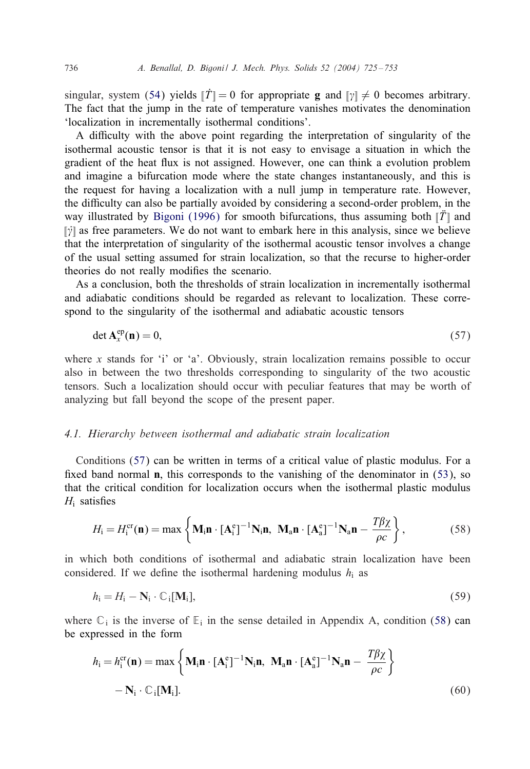<span id="page-11-0"></span>singular, system [\(54\)](#page-10-0) yields  $\Vert \vec{T} \Vert = 0$  for appropriate g and  $\Vert \gamma \Vert \neq 0$  becomes arbitrary. The fact that the jump in the rate of temperature vanishes motivates the denomination 'localization in incrementally isothermal conditions'.

A diFculty with the above point regarding the interpretation of singularity of the isothermal acoustic tensor is that it is not easy to envisage a situation in which the gradient of the heat flux is not assigned. However, one can think a evolution problem and imagine a bifurcation mode where the state changes instantaneously, and this is the request for having a localization with a null jump in temperature rate. However, the diFculty can also be partially avoided by considering a second-order problem, in the way illustrated by [Bigoni \(1996\)](#page-26-0) for smooth bifurcations, thus assuming both  $\Vert \ddot{T} \Vert$  and  $\lbrack \dot{\gamma} \rbrack$  as free parameters. We do not want to embark here in this analysis, since we believe that the interpretation of singularity of the isothermal acoustic tensor involves a change of the usual setting assumed for strain localization, so that the recurse to higher-order theories do not really modifies the scenario.

As a conclusion, both the thresholds of strain localization in incrementally isothermal and adiabatic conditions should be regarded as relevant to localization. These correspond to the singularity of the isothermal and adiabatic acoustic tensors

$$
\det \mathbf{A}_x^{\text{ep}}(\mathbf{n}) = 0,\tag{57}
$$

where x stands for 'i' or 'a'. Obviously, strain localization remains possible to occur also in between the two thresholds corresponding to singularity of the two acoustic tensors. Such a localization should occur with peculiar features that may be worth of analyzing but fall beyond the scope of the present paper.

# *4.1. Hierarchy between isothermal and adiabatic strain localization*

Conditions (57) can be written in terms of a critical value of plastic modulus. For a fixed band normal  $n$ , this corresponds to the vanishing of the denominator in  $(53)$ , so that the critical condition for localization occurs when the isothermal plastic modulus  $H<sub>i</sub>$  satisfies

$$
H_{\mathbf{i}} = H_{\mathbf{i}}^{\mathrm{cr}}(\mathbf{n}) = \max \left\{ \mathbf{M}_{\mathbf{i}} \mathbf{n} \cdot [\mathbf{A}_{\mathbf{i}}^{\mathrm{e}}]^{-1} \mathbf{N}_{\mathbf{i}} \mathbf{n}, \ \mathbf{M}_{\mathbf{a}} \mathbf{n} \cdot [\mathbf{A}_{\mathbf{a}}^{\mathrm{e}}]^{-1} \mathbf{N}_{\mathbf{a}} \mathbf{n} - \frac{T \beta \chi}{\rho c} \right\},\tag{58}
$$

in which both conditions of isothermal and adiabatic strain localization have been considered. If we define the isothermal hardening modulus  $h_i$  as

$$
h_i = H_i - \mathbf{N}_i \cdot \mathbb{C}_i[\mathbf{M}_i],\tag{59}
$$

where  $\mathbb{C}_i$  is the inverse of  $\mathbb{E}_i$  in the sense detailed in Appendix A, condition (58) can be expressed in the form

$$
h_{i} = h_{i}^{\text{cr}}(\mathbf{n}) = \max \left\{ \mathbf{M}_{i} \mathbf{n} \cdot [\mathbf{A}_{i}^{\text{e}}]^{-1} \mathbf{N}_{i} \mathbf{n}, \ \mathbf{M}_{a} \mathbf{n} \cdot [\mathbf{A}_{a}^{\text{e}}]^{-1} \mathbf{N}_{a} \mathbf{n} - \frac{T \beta \chi}{\rho c} \right\}
$$

$$
- \mathbf{N}_{i} \cdot \mathbb{C}_{i} [\mathbf{M}_{i}]. \tag{60}
$$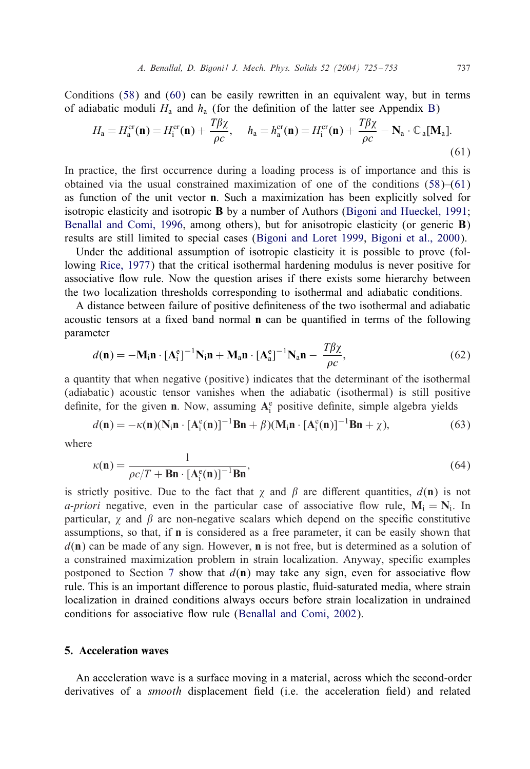Conditions [\(58\)](#page-11-0) and [\(60\)](#page-11-0) can be easily rewritten in an equivalent way, but in terms of adiabatic moduli  $H_a$  and  $h_a$  (for the definition of the latter see Appendix [B\)](#page-24-0)

$$
H_{\mathbf{a}} = H_{\mathbf{a}}^{\mathrm{cr}}(\mathbf{n}) = H_{\mathbf{i}}^{\mathrm{cr}}(\mathbf{n}) + \frac{T\beta\chi}{\rho c}, \quad h_{\mathbf{a}} = h_{\mathbf{a}}^{\mathrm{cr}}(\mathbf{n}) = H_{\mathbf{i}}^{\mathrm{cr}}(\mathbf{n}) + \frac{T\beta\chi}{\rho c} - \mathbf{N}_{\mathbf{a}} \cdot \mathbb{C}_{\mathbf{a}}[\mathbf{M}_{\mathbf{a}}].
$$
\n(61)

In practice, the first occurrence during a loading process is of importance and this is obtained via the usual constrained maximization of one of the conditions  $(58)–(61)$  $(58)–(61)$ as function of the unit vector n. Such a maximization has been explicitly solved for isotropic elasticity and isotropic B by a number of Authors [\(Bigoni and Hueckel, 1991;](#page-27-0) [Benallal and Comi, 1996,](#page-26-0) among others), but for anisotropic elasticity (or generic B) results are still limited to special cases [\(Bigoni and Loret 1999,](#page-27-0) [Bigoni et al., 2000\)](#page-27-0).

Under the additional assumption of isotropic elasticity it is possible to prove (following [Rice, 1977\)](#page-28-0) that the critical isothermal hardening modulus is never positive for associative flow rule. Now the question arises if there exists some hierarchy between the two localization thresholds corresponding to isothermal and adiabatic conditions.

A distance between failure of positive definiteness of the two isothermal and adiabatic acoustic tensors at a fixed band normal  $n$  can be quantified in terms of the following parameter

$$
d(\mathbf{n}) = -\mathbf{M}_{\mathbf{i}} \mathbf{n} \cdot \left[\mathbf{A}_{\mathbf{i}}^{\mathbf{e}}\right]^{-1} \mathbf{N}_{\mathbf{i}} \mathbf{n} + \mathbf{M}_{\mathbf{a}} \mathbf{n} \cdot \left[\mathbf{A}_{\mathbf{a}}^{\mathbf{e}}\right]^{-1} \mathbf{N}_{\mathbf{a}} \mathbf{n} - \frac{T\beta \chi}{\rho c},\tag{62}
$$

a quantity that when negative (positive) indicates that the determinant of the isothermal (adiabatic) acoustic tensor vanishes when the adiabatic (isothermal) is still positive definite, for the given **n**. Now, assuming  $A_i^e$  positive definite, simple algebra yields

$$
d(\mathbf{n}) = -\kappa(\mathbf{n})(\mathbf{N}_i \mathbf{n} \cdot [\mathbf{A}_i^e(\mathbf{n})]^{-1} \mathbf{B} \mathbf{n} + \beta)(\mathbf{M}_i \mathbf{n} \cdot [\mathbf{A}_i^e(\mathbf{n})]^{-1} \mathbf{B} \mathbf{n} + \chi),
$$
(63)

where

$$
\kappa(\mathbf{n}) = \frac{1}{\rho c/T + \mathbf{B} \mathbf{n} \cdot [\mathbf{A}_{\mathbf{i}}^{\mathbf{e}}(\mathbf{n})]^{-1} \mathbf{B} \mathbf{n}},\tag{64}
$$

is strictly positive. Due to the fact that  $\chi$  and  $\beta$  are different quantities,  $d(\mathbf{n})$  is not *a-priori* negative, even in the particular case of associative flow rule,  $M_i = N_i$ . In particular,  $\gamma$  and  $\beta$  are non-negative scalars which depend on the specific constitutive assumptions, so that, if n is considered as a free parameter, it can be easily shown that  $d(n)$  can be made of any sign. However, **n** is not free, but is determined as a solution of a constrained maximization problem in strain localization. Anyway, specific examples postponed to Section [7](#page-16-0) show that  $d(n)$  may take any sign, even for associative flow rule. This is an important difference to porous plastic, fluid-saturated media, where strain localization in drained conditions always occurs before strain localization in undrained conditions for associative flow rule [\(Benallal and Comi, 2002\)](#page-26-0).

#### 5. Acceleration waves

An acceleration wave is a surface moving in a material, across which the second-order derivatives of a *smooth* displacement field (i.e. the acceleration field) and related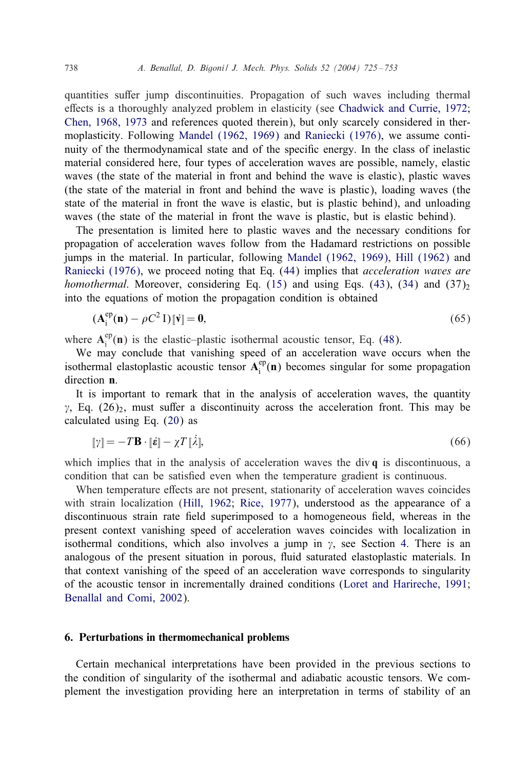quantities suffer jump discontinuities. Propagation of such waves including thermal effects is a thoroughly analyzed problem in elasticity (see [Chadwick and Currie, 1972;](#page-27-0) [Chen, 1968, 1973](#page-27-0) and references quoted therein), but only scarcely considered in thermoplasticity. Following [Mandel \(1962, 1969\)](#page-27-0) and [Raniecki \(1976\),](#page-28-0) we assume continuity of the thermodynamical state and of the specific energy. In the class of inelastic material considered here, four types of acceleration waves are possible, namely, elastic waves (the state of the material in front and behind the wave is elastic), plastic waves (the state of the material in front and behind the wave is plastic), loading waves (the state of the material in front the wave is elastic, but is plastic behind), and unloading waves (the state of the material in front the wave is plastic, but is elastic behind).

The presentation is limited here to plastic waves and the necessary conditions for propagation of acceleration waves follow fromthe Hadamard restrictions on possible jumps in the material. In particular, following [Mandel \(1962, 1969\),](#page-27-0) [Hill \(1962\)](#page-27-0) and [Raniecki \(1976\),](#page-28-0) we proceed noting that Eq. [\(44\)](#page-8-0) implies that *acceleration waves are homothermal*. Moreover, considering Eq.  $(15)$  and using Eqs.  $(43)$ ,  $(34)$  and  $(37)_2$ into the equations of motion the propagation condition is obtained

$$
(\mathbf{A}_i^{\text{ep}}(\mathbf{n}) - \rho C^2 \mathbf{I})[\dot{\mathbf{v}}] = \mathbf{0},\tag{65}
$$

where  $A_i^{ep}(n)$  is the elastic–plastic isothermal acoustic tensor, Eq. [\(48\)](#page-9-0).

We may conclude that vanishing speed of an acceleration wave occurs when the isothermal elastoplastic acoustic tensor  $A_i^{ep}(n)$  becomes singular for some propagation direction n.

It is important to remark that in the analysis of acceleration waves, the quantity  $\gamma$ , Eq. (26)<sub>2</sub>, must suffer a discontinuity across the acceleration front. This may be calculated using Eq. [\(20\)](#page-5-0) as

$$
[\gamma] = -T\mathbf{B} \cdot [\dot{\mathbf{\varepsilon}}] - \chi T [\dot{\lambda}],\tag{66}
$$

which implies that in the analysis of acceleration waves the div $q$  is discontinuous, a condition that can be satisfied even when the temperature gradient is continuous.

When temperature effects are not present, stationarity of acceleration waves coincides with strain localization [\(Hill, 1962;](#page-27-0) [Rice, 1977\)](#page-28-0), understood as the appearance of a discontinuous strain rate field superimposed to a homogeneous field, whereas in the present context vanishing speed of acceleration waves coincides with localization in isothermal conditions, which also involves a jump in  $\gamma$ , see Section [4.](#page-9-0) There is an analogous of the present situation in porous, fluid saturated elastoplastic materials. In that context vanishing of the speed of an acceleration wave corresponds to singularity of the acoustic tensor in incrementally drained conditions [\(Loret and Harireche, 1991;](#page-27-0) [Benallal and Comi, 2002\)](#page-26-0).

#### 6. Perturbations in thermomechanical problems

Certain mechanical interpretations have been provided in the previous sections to the condition of singularity of the isothermal and adiabatic acoustic tensors. We complement the investigation providing here an interpretation in terms of stability of an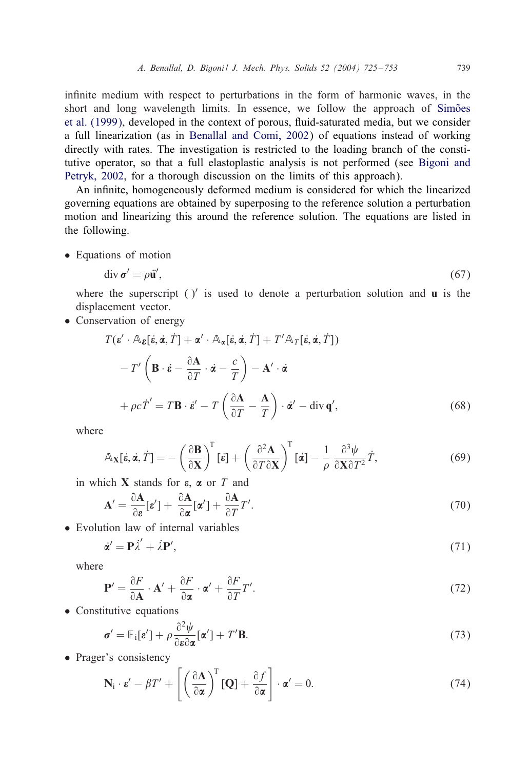<span id="page-14-0"></span>infinite medium with respect to perturbations in the form of harmonic waves, in the short and long wavelength limits. In essence, we follow the approach of Simões [et al. \(1999\),](#page-28-0) developed in the context of porous, fluid-saturated media, but we consider a full linearization (as in [Benallal and Comi, 2002\)](#page-26-0) of equations instead of working directly with rates. The investigation is restricted to the loading branch of the constitutive operator, so that a full elastoplastic analysis is not performed (see [Bigoni and](#page-27-0) [Petryk, 2002,](#page-27-0) for a thorough discussion on the limits of this approach).

An infinite, homogeneously deformed medium is considered for which the linearized governing equations are obtained by superposing to the reference solution a perturbation motion and linearizing this around the reference solution. The equations are listed in the following.

• Equations of motion

$$
\operatorname{div} \boldsymbol{\sigma}' = \rho \ddot{\mathbf{u}}',\tag{67}
$$

where the superscript ( $\prime$  is used to denote a perturbation solution and **u** is the displacement vector.

• Conservation of energy

$$
T(\mathbf{\varepsilon}' \cdot \mathbb{A}_{\mathbf{\varepsilon}}[\dot{\mathbf{\varepsilon}}, \dot{\mathbf{\alpha}}, \dot{T}] + \mathbf{\alpha}' \cdot \mathbb{A}_{\mathbf{\alpha}}[\dot{\mathbf{\varepsilon}}, \dot{\mathbf{\alpha}}, \dot{T}] + T' \mathbb{A}_{T}[\dot{\mathbf{\varepsilon}}, \dot{\mathbf{\alpha}}, \dot{T}])
$$

$$
- T' \left( \mathbf{B} \cdot \dot{\mathbf{\varepsilon}} - \frac{\partial \mathbf{A}}{\partial T} \cdot \dot{\mathbf{\alpha}} - \frac{c}{T} \right) - \mathbf{A}' \cdot \dot{\mathbf{\alpha}}
$$

$$
+ \rho c \dot{T}' = T \mathbf{B} \cdot \dot{\mathbf{\varepsilon}}' - T \left( \frac{\partial \mathbf{A}}{\partial T} - \frac{\mathbf{A}}{T} \right) \cdot \dot{\mathbf{\alpha}}' - \text{div } \mathbf{q}', \tag{68}
$$

where

$$
\mathbb{A}_{\mathbf{X}}[\boldsymbol{\dot{\mathbf{z}}},\boldsymbol{\dot{\mathbf{z}}},\dot{T}] = -\left(\frac{\partial \mathbf{B}}{\partial \mathbf{X}}\right)^{\mathrm{T}}[\boldsymbol{\dot{\mathbf{z}}}] + \left(\frac{\partial^2 \mathbf{A}}{\partial T \partial \mathbf{X}}\right)^{\mathrm{T}}[\boldsymbol{\dot{\mathbf{z}}}] - \frac{1}{\rho} \frac{\partial^3 \psi}{\partial \mathbf{X} \partial T^2} \dot{T},\tag{69}
$$

in which **X** stands for  $\varepsilon$ ,  $\alpha$  or T and

$$
\mathbf{A}' = \frac{\partial \mathbf{A}}{\partial \varepsilon} [\varepsilon'] + \frac{\partial \mathbf{A}}{\partial \alpha} [\alpha'] + \frac{\partial \mathbf{A}}{\partial T} T'. \tag{70}
$$

• Evolution law of internal variables

$$
\dot{\alpha}' = \mathbf{P}\dot{\lambda}' + \dot{\lambda}\mathbf{P}',\tag{71}
$$

where

$$
\mathbf{P}' = \frac{\partial F}{\partial \mathbf{A}} \cdot \mathbf{A}' + \frac{\partial F}{\partial \mathbf{\alpha}} \cdot \mathbf{\alpha}' + \frac{\partial F}{\partial T} T'.
$$
 (72)

• Constitutive equations

$$
\boldsymbol{\sigma}' = \mathbb{E}_{i}[\boldsymbol{\varepsilon}'] + \rho \frac{\partial^2 \psi}{\partial \boldsymbol{\varepsilon} \partial \boldsymbol{\alpha}}[\boldsymbol{\alpha}'] + T' \mathbf{B}.
$$
 (73)

• Prager's consistency

$$
\mathbf{N}_{\mathbf{i}} \cdot \mathbf{\varepsilon}' - \beta T' + \left[ \left( \frac{\partial \mathbf{A}}{\partial \mathbf{\alpha}} \right)^{\mathrm{T}} [\mathbf{Q}] + \frac{\partial f}{\partial \mathbf{\alpha}} \right] \cdot \mathbf{\alpha}' = 0. \tag{74}
$$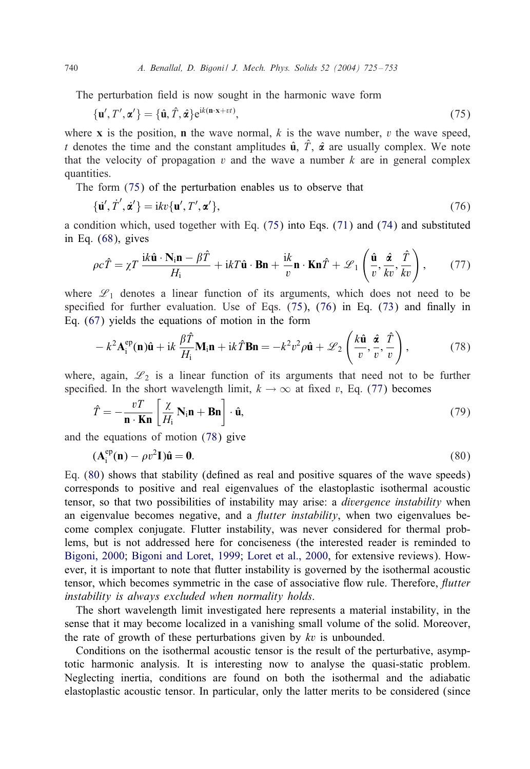The perturbation field is now sought in the harmonic wave form

$$
\{\mathbf u', T', \mathbf \alpha'\} = \{\hat{\mathbf u}, \hat{T}, \hat{\mathbf \alpha}\} e^{i k (\mathbf n \cdot \mathbf x + vt)},\tag{75}
$$

where x is the position, **n** the wave normal, k is the wave number, v the wave speed, t denotes the time and the constant amplitudes  $\hat{\mathbf{u}}$ ,  $\hat{T}$ ,  $\hat{\mathbf{\alpha}}$  are usually complex. We note that the velocity of propagation  $v$  and the wave a number  $k$  are in general complex quantities.

The form (75) of the perturbation enables us to observe that

$$
\{\mathbf{u}', \dot{T}', \dot{\mathbf{a}}'\} = ikv\{\mathbf{u}', T', \mathbf{a}'\},\tag{76}
$$

a condition which, used together with Eq. (75) into Eqs. [\(71\)](#page-14-0) and [\(74\)](#page-14-0) and substituted in Eq. [\(68\)](#page-14-0), gives

$$
\rho c\hat{T} = \chi T \frac{i k \hat{\mathbf{u}} \cdot \mathbf{N}_i \mathbf{n} - \beta \hat{T}}{H_i} + ikT \hat{\mathbf{u}} \cdot \mathbf{B} \mathbf{n} + \frac{i k}{v} \mathbf{n} \cdot \mathbf{K} \mathbf{n} \hat{T} + \mathscr{L}_1 \left( \frac{\hat{\mathbf{u}}}{v}, \frac{\hat{\mathbf{z}}}{kv}, \frac{\hat{T}}{kv} \right), \tag{77}
$$

where  $\mathscr{L}_1$  denotes a linear function of its arguments, which does not need to be specified for further evaluation. Use of Eqs.  $(75)$ ,  $(76)$  in Eq.  $(73)$  and finally in Eq. [\(67\)](#page-14-0) yields the equations of motion in the form

$$
-k^2 \mathbf{A}_i^{\text{ep}}(\mathbf{n})\hat{\mathbf{u}} + \mathrm{i}k \frac{\beta \hat{T}}{H_i} \mathbf{M}_i \mathbf{n} + \mathrm{i}k \hat{T} \mathbf{B} \mathbf{n} = -k^2 v^2 \rho \hat{\mathbf{u}} + \mathscr{L}_2 \left( \frac{k \hat{\mathbf{u}}}{v}, \frac{\hat{\mathbf{a}}}{v}, \frac{\hat{T}}{v} \right),\tag{78}
$$

where, again,  $\mathcal{L}_2$  is a linear function of its arguments that need not to be further specified. In the short wavelength limit,  $k \to \infty$  at fixed v, Eq. (77) becomes

$$
\hat{T} = -\frac{vT}{\mathbf{n} \cdot \mathbf{Kn}} \left[ \frac{\chi}{H_{\rm i}} \mathbf{N}_{\rm i} \mathbf{n} + \mathbf{B} \mathbf{n} \right] \cdot \hat{\mathbf{u}},\tag{79}
$$

and the equations of motion (78) give

$$
(\mathbf{A}_i^{\text{ep}}(\mathbf{n}) - \rho v^2 \mathbf{I})\hat{\mathbf{u}} = \mathbf{0}.\tag{80}
$$

Eq.  $(80)$  shows that stability (defined as real and positive squares of the wave speeds) corresponds to positive and real eigenvalues of the elastoplastic isothermal acoustic tensor, so that two possibilities of instability may arise: a *divergence instability* when an eigenvalue becomes negative, and a *flutter instability*, when two eigenvalues become complex conjugate. Flutter instability, was never considered for thermal problems, but is not addressed here for conciseness (the interested reader is reminded to [Bigoni, 2000;](#page-26-0) [Bigoni and Loret, 1999;](#page-27-0) [Loret et al., 2000,](#page-27-0) for extensive reviews). However, it is important to note that flutter instability is governed by the isothermal acoustic tensor, which becomes symmetric in the case of associative flow rule. Therefore, *flutter instability is always excluded when normality holds*.

The short wavelength limit investigated here represents a material instability, in the sense that it may become localized in a vanishing small volume of the solid. Moreover, the rate of growth of these perturbations given by  $kv$  is unbounded.

Conditions on the isothermal acoustic tensor is the result of the perturbative, asymptotic harmonic analysis. It is interesting now to analyse the quasi-static problem. Neglecting inertia, conditions are found on both the isothermal and the adiabatic elastoplastic acoustic tensor. In particular, only the latter merits to be considered (since

<span id="page-15-0"></span>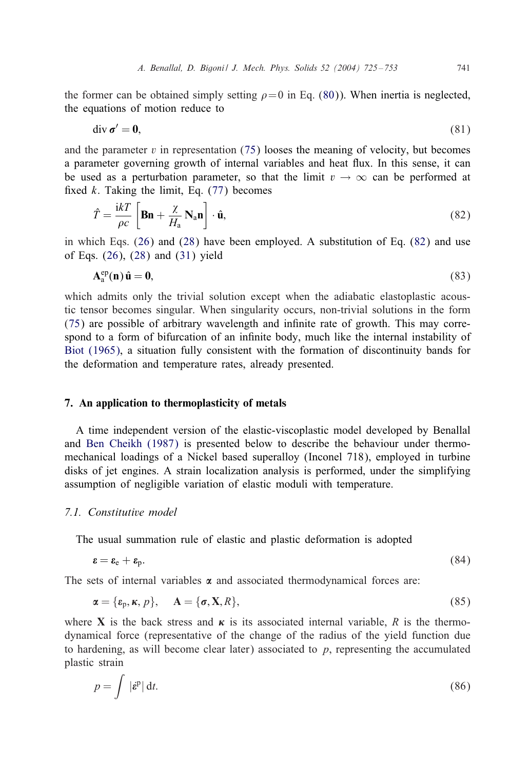<span id="page-16-0"></span>the former can be obtained simply setting  $\rho = 0$  in Eq. [\(80\)](#page-15-0)). When inertia is neglected, the equations of motion reduce to

$$
\operatorname{div} \boldsymbol{\sigma}' = \mathbf{0},\tag{81}
$$

and the parameter  $v$  in representation [\(75\)](#page-15-0) looses the meaning of velocity, but becomes a parameter governing growth of internal variables and heat flux. In this sense, it can be used as a perturbation parameter, so that the limit  $v \to \infty$  can be performed at fixed  $k$ . Taking the limit, Eq. [\(77\)](#page-15-0) becomes

$$
\hat{T} = \frac{i k T}{\rho c} \left[ \mathbf{B} \mathbf{n} + \frac{\chi}{H_a} \mathbf{N}_a \mathbf{n} \right] \cdot \hat{\mathbf{u}},\tag{82}
$$

in which Eqs. [\(26\)](#page-6-0) and [\(28\)](#page-6-0) have been employed. A substitution of Eq. (82) and use of Eqs. [\(26\)](#page-6-0), [\(28\)](#page-6-0) and [\(31\)](#page-7-0) yield

$$
\mathbf{A}_{\mathbf{a}}^{\text{ep}}(\mathbf{n})\,\hat{\mathbf{u}}=\mathbf{0},\tag{83}
$$

which admits only the trivial solution except when the adiabatic elastoplastic acoustic tensor becomes singular. When singularity occurs, non-trivial solutions in the form  $(75)$  are possible of arbitrary wavelength and infinite rate of growth. This may correspond to a form of bifurcation of an infinite body, much like the internal instability of [Biot \(1965\),](#page-27-0) a situation fully consistent with the formation of discontinuity bands for the deformation and temperature rates, already presented.

### 7. An application to thermoplasticity of metals

A time independent version of the elastic-viscoplastic model developed by Benallal and [Ben Cheikh \(1987\)](#page-26-0) is presented below to describe the behaviour under thermomechanical loadings of a Nickel based superalloy (Inconel 718), employed in turbine disks of jet engines. A strain localization analysis is performed, under the simplifying assumption of negligible variation of elastic moduli with temperature.

#### *7.1. Constitutive model*

The usual summation rule of elastic and plastic deformation is adopted

$$
\boldsymbol{\varepsilon} = \boldsymbol{\varepsilon}_{\rm e} + \boldsymbol{\varepsilon}_{\rm p}.\tag{84}
$$

The sets of internal variables  $\alpha$  and associated thermodynamical forces are:

$$
\mathbf{\alpha} = {\varepsilon_{\mathbf{p}}, \kappa, p}, \quad \mathbf{A} = {\sigma, \mathbf{X}, R}, \tag{85}
$$

where X is the back stress and  $\kappa$  is its associated internal variable, R is the thermodynamical force (representative of the change of the radius of the yield function due to hardening, as will become clear later) associated to  $p$ , representing the accumulated plastic strain

$$
p = \int |\dot{\mathbf{\varepsilon}}^{\mathbf{p}}| \, \mathrm{d}t. \tag{86}
$$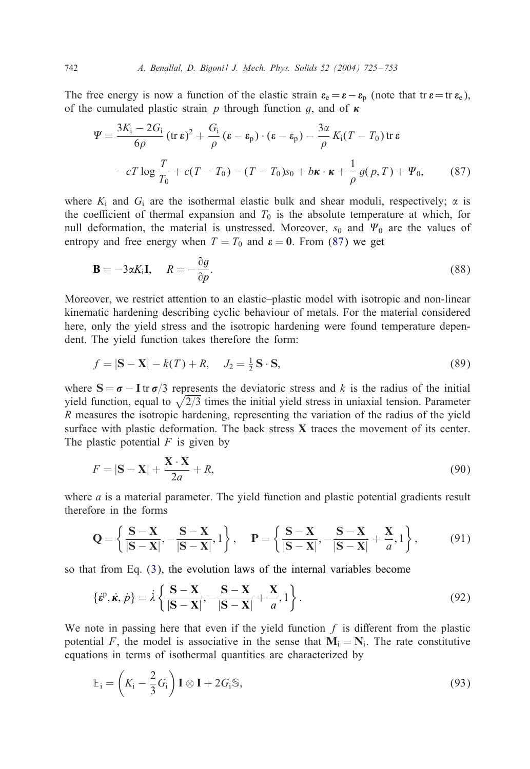The free energy is now a function of the elastic strain  $\varepsilon_e = \varepsilon - \varepsilon_p$  (note that tr  $\varepsilon = \text{tr } \varepsilon_e$ ), of the cumulated plastic strain p through function g, and of  $\kappa$ 

$$
\Psi = \frac{3K_i - 2G_i}{6\rho} (\text{tr}\,\varepsilon)^2 + \frac{G_i}{\rho} (\varepsilon - \varepsilon_p) \cdot (\varepsilon - \varepsilon_p) - \frac{3\alpha}{\rho} K_i (T - T_0) \text{tr}\,\varepsilon
$$
  
- cT log  $\frac{T}{T_0}$  + c(T - T\_0) - (T - T\_0)s\_0 + b\kappa \cdot \kappa + \frac{1}{\rho} g(p, T) + \Psi\_0, (87)

where  $K_i$  and  $G_i$  are the isothermal elastic bulk and shear moduli, respectively;  $\alpha$  is the coefficient of thermal expansion and  $T_0$  is the absolute temperature at which, for null deformation, the material is unstressed. Moreover,  $s_0$  and  $\Psi_0$  are the values of entropy and free energy when  $T = T_0$  and  $\epsilon = 0$ . From (87) we get

$$
\mathbf{B} = -3\alpha K_{\mathrm{i}} \mathbf{I}, \quad R = -\frac{\partial g}{\partial p}.\tag{88}
$$

Moreover, we restrict attention to an elastic–plastic model with isotropic and non-linear kinematic hardening describing cyclic behaviour of metals. For the material considered here, only the yield stress and the isotropic hardening were found temperature dependent. The yield function takes therefore the form:

$$
f = |\mathbf{S} - \mathbf{X}| - k(T) + R, \quad J_2 = \frac{1}{2}\mathbf{S} \cdot \mathbf{S},\tag{89}
$$

where  $S = \sigma - \text{I} \text{tr} \sigma/3$  represents the deviatoric stress and k is the radius of the initial yield function, equal to  $\sqrt{2/3}$  times the initial yield stress in uniaxial tension. Parameter R measures the isotropic hardening, representing the variation of the radius of the yield surface with plastic deformation. The back stress  $X$  traces the movement of its center. The plastic potential  $F$  is given by

$$
F = |\mathbf{S} - \mathbf{X}| + \frac{\mathbf{X} \cdot \mathbf{X}}{2a} + R,\tag{90}
$$

where  $\alpha$  is a material parameter. The yield function and plastic potential gradients result therefore in the forms

$$
\mathbf{Q} = \left\{ \frac{\mathbf{S} - \mathbf{X}}{|\mathbf{S} - \mathbf{X}|}, -\frac{\mathbf{S} - \mathbf{X}}{|\mathbf{S} - \mathbf{X}|}, 1 \right\}, \quad \mathbf{P} = \left\{ \frac{\mathbf{S} - \mathbf{X}}{|\mathbf{S} - \mathbf{X}|}, -\frac{\mathbf{S} - \mathbf{X}}{|\mathbf{S} - \mathbf{X}|} + \frac{\mathbf{X}}{a}, 1 \right\},\tag{91}
$$

so that from Eq.  $(3)$ , the evolution laws of the internal variables become

$$
\{\hat{\boldsymbol{\varepsilon}}^{\mathrm{p}}, \dot{\boldsymbol{\kappa}}, \dot{p}\} = \dot{\lambda} \left\{ \frac{\mathbf{S} - \mathbf{X}}{|\mathbf{S} - \mathbf{X}|}, -\frac{\mathbf{S} - \mathbf{X}}{|\mathbf{S} - \mathbf{X}|} + \frac{\mathbf{X}}{a}, 1 \right\}.
$$
\n(92)

We note in passing here that even if the yield function  $f$  is different from the plastic potential F, the model is associative in the sense that  $M_i = N_i$ . The rate constitutive equations in terms of isothermal quantities are characterized by

$$
\mathbb{E}_{i} = \left(K_{i} - \frac{2}{3}G_{i}\right)\mathbf{I} \otimes \mathbf{I} + 2G_{i}\mathbb{S},\tag{93}
$$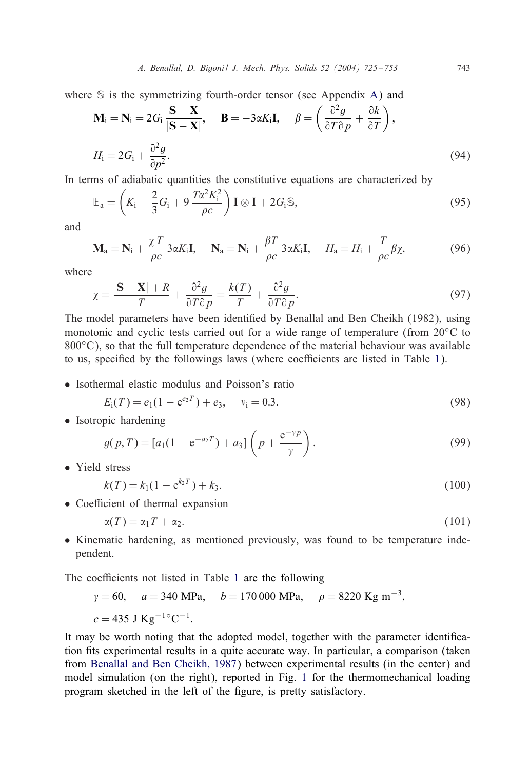<span id="page-18-0"></span>where  $\mathcal S$  is the symmetrizing fourth-order tensor (see Appendix [A\)](#page-24-0) and

$$
\mathbf{M}_{i} = \mathbf{N}_{i} = 2G_{i} \frac{\mathbf{S} - \mathbf{X}}{|\mathbf{S} - \mathbf{X}|}, \quad \mathbf{B} = -3\alpha K_{i} \mathbf{I}, \quad \beta = \left(\frac{\partial^{2} g}{\partial T \partial p} + \frac{\partial k}{\partial T}\right),
$$
  
\n
$$
H_{i} = 2G_{i} + \frac{\partial^{2} g}{\partial p^{2}}.
$$
\n(94)

In terms of adiabatic quantities the constitutive equations are characterized by

$$
\mathbb{E}_{\mathbf{a}} = \left( K_{\mathbf{i}} - \frac{2}{3} G_{\mathbf{i}} + 9 \frac{T \alpha^2 K_{\mathbf{i}}^2}{\rho c} \right) \mathbf{I} \otimes \mathbf{I} + 2 G_{\mathbf{i}} \mathbb{S},\tag{95}
$$

and

$$
\mathbf{M}_{\rm a} = \mathbf{N}_{\rm i} + \frac{\chi T}{\rho c} 3\alpha K_{\rm i} \mathbf{I}, \quad \mathbf{N}_{\rm a} = \mathbf{N}_{\rm i} + \frac{\beta T}{\rho c} 3\alpha K_{\rm i} \mathbf{I}, \quad H_{\rm a} = H_{\rm i} + \frac{T}{\rho c} \beta \chi, \tag{96}
$$

where

$$
\chi = \frac{|\mathbf{S} - \mathbf{X}| + R}{T} + \frac{\partial^2 g}{\partial T \partial p} = \frac{k(T)}{T} + \frac{\partial^2 g}{\partial T \partial p}.
$$
\n(97)

The model parameters have been identified by Benallal and Ben Cheikh (1982), using monotonic and cyclic tests carried out for a wide range of temperature (from 20◦C to 800◦C), so that the full temperature dependence of the material behaviour was available to us, specified by the followings laws (where coefficients are listed in Table [1\)](#page-19-0).

• Isothermal elastic modulus and Poisson's ratio

$$
E_i(T) = e_1(1 - e^{e_2 T}) + e_3, \quad v_i = 0.3.
$$
\n(98)

• Isotropic hardening

$$
g(p,T) = [a_1(1 - e^{-a_2T}) + a_3] \left( p + \frac{e^{-\gamma p}}{\gamma} \right).
$$
 (99)

• Yield stress

$$
k(T) = k_1(1 - e^{k_2 T}) + k_3. \tag{100}
$$

• Coefficient of thermal expansion

$$
\alpha(T) = \alpha_1 T + \alpha_2. \tag{101}
$$

• Kinematic hardening, as mentioned previously, was found to be temperature independent.

The coefficients not listed in Table [1](#page-19-0) are the following

$$
\gamma = 60
$$
,  $a = 340$  MPa,  $b = 170\,000$  MPa,  $\rho = 8220$  Kg m<sup>-3</sup>,  
\n $c = 435$  J Kg<sup>-1°</sup>C<sup>-1</sup>.

It may be worth noting that the adopted model, together with the parameter identification fits experimental results in a quite accurate way. In particular, a comparison (taken from [Benallal and Ben Cheikh, 1987\)](#page-26-0) between experimental results (in the center) and model simulation (on the right), reported in Fig. [1](#page-19-0) for the thermomechanical loading program sketched in the left of the figure, is pretty satisfactory.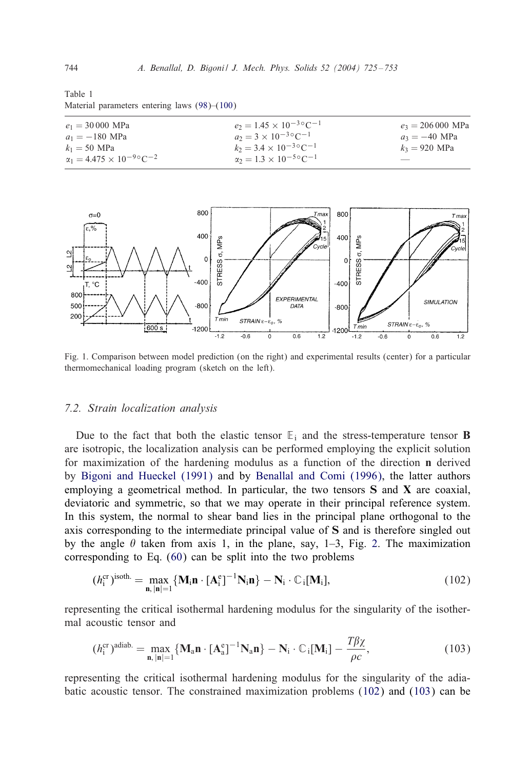| $e_1 = 30000 \text{ MPa}$                          | $e_2 = 1.45 \times 10^{-3}$ °C <sup>-1</sup>     | $e_3 = 206000 \text{ MPa}$ |
|----------------------------------------------------|--------------------------------------------------|----------------------------|
| $a_1 = -180$ MPa                                   | $a_2 = 3 \times 10^{-3}$ °C <sup>-1</sup>        | $a_3 = -40$ MPa            |
| $k_1 = 50$ MPa                                     | $k_2 = 3.4 \times 10^{-3}$ °C <sup>-1</sup>      | $k_3 = 920$ MPa            |
| $\alpha_1 = 4.475 \times 10^{-9}$ °C <sup>-2</sup> | $\alpha_2 = 1.3 \times 10^{-5}$ °C <sup>-1</sup> |                            |

<span id="page-19-0"></span>



Fig. 1. Comparison between model prediction (on the right) and experimental results (center) for a particular thermomechanical loading program (sketch on the left).

#### *7.2. Strain localization analysis*

Due to the fact that both the elastic tensor  $\mathbb{E}_i$  and the stress-temperature tensor **B** are isotropic, the localization analysis can be performed employing the explicit solution for maximization of the hardening modulus as a function of the direction n derived by [Bigoni and Hueckel \(1991\)](#page-27-0) and by [Benallal and Comi \(1996\),](#page-26-0) the latter authors employing a geometrical method. In particular, the two tensors S and X are coaxial, deviatoric and symmetric, so that we may operate in their principal reference system. In this system, the normal to shear band lies in the principal plane orthogonal to the axis corresponding to the intermediate principal value of S and is therefore singled out by the angle  $\theta$  taken from axis 1, in the plane, say, 1–3, Fig. [2.](#page-20-0) The maximization corresponding to Eq. [\(60\)](#page-11-0) can be split into the two problems

$$
(h_i^{\text{cr}})^{\text{isoth.}} = \max_{\mathbf{n}, |\mathbf{n}| = 1} \{ \mathbf{M}_i \mathbf{n} \cdot [\mathbf{A}_i^{\text{e}}]^{-1} \mathbf{N}_i \mathbf{n} \} - \mathbf{N}_i \cdot \mathbb{C}_i [\mathbf{M}_i], \tag{102}
$$

representing the critical isothermal hardening modulus for the singularity of the isothermal acoustic tensor and

$$
(h_i^{cr})^{\text{adiab.}} = \max_{\mathbf{n}, |\mathbf{n}| = 1} \{ \mathbf{M}_a \mathbf{n} \cdot [\mathbf{A}_a^e]^{-1} \mathbf{N}_a \mathbf{n} \} - \mathbf{N}_i \cdot \mathbb{C}_i [\mathbf{M}_i] - \frac{T\beta \chi}{\rho c},\tag{103}
$$

representing the critical isothermal hardening modulus for the singularity of the adiabatic acoustic tensor. The constrained maximization problems (102) and (103) can be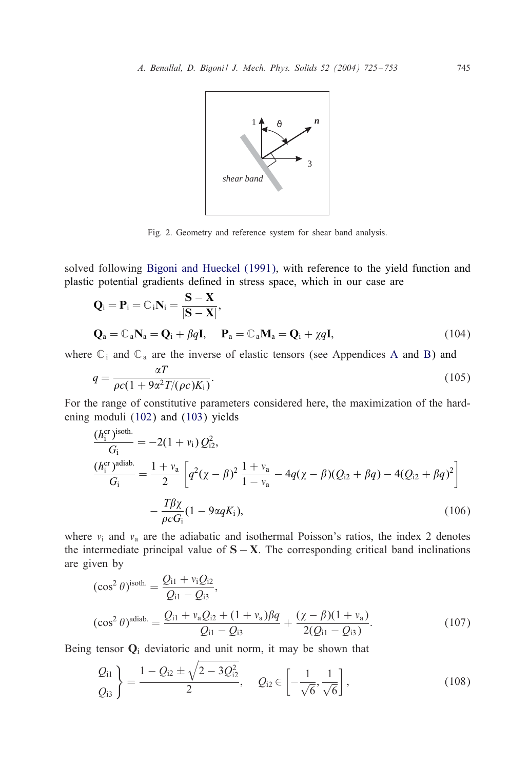<span id="page-20-0"></span>

Fig. 2. Geometry and reference system for shear band analysis.

solved following [Bigoni and Hueckel \(1991\),](#page-27-0) with reference to the yield function and plastic potential gradients defined in stress space, which in our case are

$$
Q_{i} = P_{i} = \mathbb{C}_{i}N_{i} = \frac{S - X}{|S - X|},
$$
  
\n
$$
Q_{a} = \mathbb{C}_{a}N_{a} = Q_{i} + \beta qI, \quad P_{a} = \mathbb{C}_{a}M_{a} = Q_{i} + \chi qI,
$$
\n(104)

where  $\mathbb{C}_i$  and  $\mathbb{C}_a$  are the inverse of elastic tensors (see [A](#page-24-0)ppendices A and [B\)](#page-24-0) and

$$
q = \frac{\alpha T}{\rho c (1 + 9\alpha^2 T / (\rho c) K_{\rm i})}.
$$
\n(105)

For the range of constitutive parameters considered here, the maximization of the hardening moduli [\(102\)](#page-19-0) and [\(103\)](#page-19-0) yields

$$
\frac{(h_i^{\text{cr}})^{\text{isoth.}}}{G_i} = -2(1 + v_i) Q_{i2}^2,
$$
\n
$$
\frac{(h_i^{\text{cr}})^{\text{adiab.}}}{G_i} = \frac{1 + v_a}{2} \left[ q^2 (\chi - \beta)^2 \frac{1 + v_a}{1 - v_a} - 4q (\chi - \beta)(Q_{i2} + \beta q) - 4(Q_{i2} + \beta q)^2 \right]
$$
\n
$$
- \frac{T\beta \chi}{\rho c G_i} (1 - 9\alpha q K_i),
$$
\n(106)

where  $v_i$  and  $v_a$  are the adiabatic and isothermal Poisson's ratios, the index 2 denotes the intermediate principal value of  $S - X$ . The corresponding critical band inclinations are given by

$$
(\cos^2 \theta)^{\text{isoth.}} = \frac{Q_{i1} + v_i Q_{i2}}{Q_{i1} - Q_{i3}},
$$
  

$$
(\cos^2 \theta)^{\text{adiab.}} = \frac{Q_{i1} + v_a Q_{i2} + (1 + v_a) \beta q}{Q_{i1} - Q_{i3}} + \frac{(\chi - \beta)(1 + v_a)}{2(Q_{i1} - Q_{i3})}.
$$
 (107)

Being tensor  $Q_i$  deviatoric and unit norm, it may be shown that

$$
\left\{\frac{Q_{i1}}{Q_{i3}}\right\} = \frac{1 - Q_{i2} \pm \sqrt{2 - 3Q_{i2}^2}}{2}, \quad Q_{i2} \in \left[-\frac{1}{\sqrt{6}}, \frac{1}{\sqrt{6}}\right],
$$
\n(108)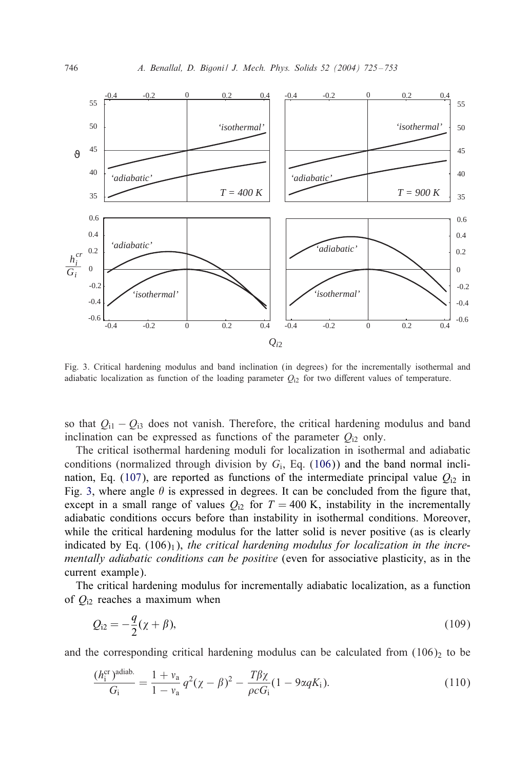

Fig. 3. Critical hardening modulus and band inclination (in degrees) for the incrementally isothermal and adiabatic localization as function of the loading parameter  $Q_{i2}$  for two different values of temperature.

so that  $Q_{i1} - Q_{i3}$  does not vanish. Therefore, the critical hardening modulus and band inclination can be expressed as functions of the parameter  $Q_{i2}$  only.

The critical isothermal hardening moduli for localization in isothermal and adiabatic conditions (normalized through division by  $G_i$ , Eq. [\(106\)](#page-20-0)) and the band normal incli-nation, Eq. [\(107\)](#page-20-0), are reported as functions of the intermediate principal value  $Q_{i2}$  in Fig. 3, where angle  $\theta$  is expressed in degrees. It can be concluded from the figure that, except in a small range of values  $Q_{i2}$  for  $T = 400$  K, instability in the incrementally adiabatic conditions occurs before than instability in isothermal conditions. Moreover, while the critical hardening modulus for the latter solid is never positive (as is clearly indicated by Eq.  $(106)_1$ *), the critical hardening modulus for localization in the incrementally adiabatic conditions can be positive* (even for associative plasticity, as in the current example).

The critical hardening modulus for incrementally adiabatic localization, as a function of  $Q_{i2}$  reaches a maximum when

$$
Q_{i2} = -\frac{q}{2}(\chi + \beta),\tag{109}
$$

and the corresponding critical hardening modulus can be calculated from  $(106)_2$  to be

$$
\frac{(h_i^{\text{cr}})^{\text{adiab.}}}{G_i} = \frac{1 + v_a}{1 - v_a} q^2 (\chi - \beta)^2 - \frac{T\beta \chi}{\rho c G_i} (1 - 9\alpha q K_i). \tag{110}
$$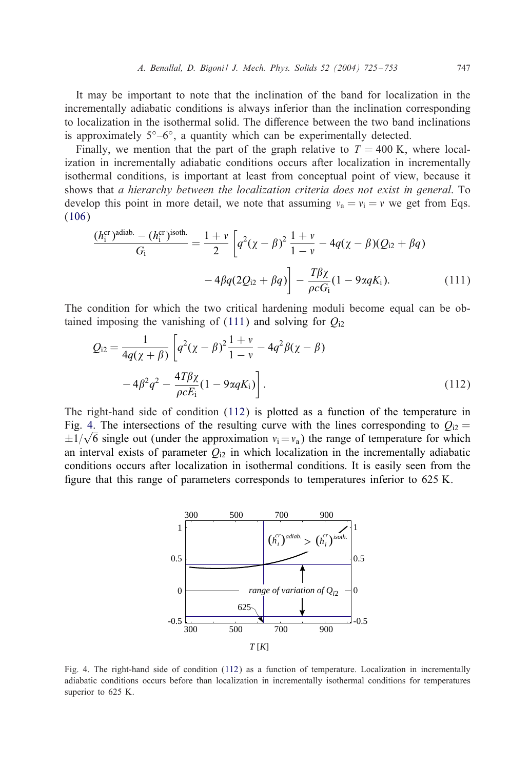It may be important to note that the inclination of the band for localization in the incrementally adiabatic conditions is always inferior than the inclination corresponding to localization in the isothermal solid. The difference between the two band inclinations is approximately  $5^\circ - 6^\circ$ , a quantity which can be experimentally detected.

Finally, we mention that the part of the graph relative to  $T = 400$  K, where localization in incrementally adiabatic conditions occurs after localization in incrementally isothermal conditions, is important at least from conceptual point of view, because it shows that *a hierarchy between the localization criteria does not exist in general*. To develop this point in more detail, we note that assuming  $v_a = v_i = v$  we get from Eqs. [\(106\)](#page-20-0)

$$
\frac{(h_i^{\text{cr}})^{\text{adiab.}} - (h_i^{\text{cr}})^{\text{isoth.}}}{G_i} = \frac{1+v}{2} \left[ q^2 (\chi - \beta)^2 \frac{1+v}{1-v} - 4q (\chi - \beta)(Q_{i2} + \beta q) -4\beta q (2Q_{i2} + \beta q) \right] - \frac{T\beta \chi}{\rho c G_i} (1 - 9\alpha q K_i). \tag{111}
$$

The condition for which the two critical hardening moduli become equal can be obtained imposing the vanishing of (111) and solving for  $Q_{i2}$ 

$$
Q_{i2} = \frac{1}{4q(\chi + \beta)} \left[ q^{2}(\chi - \beta)^{2} \frac{1 + \nu}{1 - \nu} - 4q^{2} \beta(\chi - \beta) - 4\beta^{2} q^{2} - \frac{4T\beta\chi}{\rho cE_{i}} (1 - 9\alpha qK_{i}) \right].
$$
\n(112)

The right-hand side of condition (112) is plotted as a function of the temperature in Fig. 4. The intersections of the resulting curve with the lines corresponding to  $Q_{12} =$  $\pm 1/\sqrt{6}$  single out (under the approximation  $v_i = v_a$ ) the range of temperature for which an interval exists of parameter  $Q_{i2}$  in which localization in the incrementally adiabatic conditions occurs after localization in isothermal conditions. It is easily seen from the figure that this range of parameters corresponds to temperatures inferior to 625 K.



Fig. 4. The right-hand side of condition (112) as a function of temperature. Localization in incrementally adiabatic conditions occurs before than localization in incrementally isothermal conditions for temperatures superior to 625 K.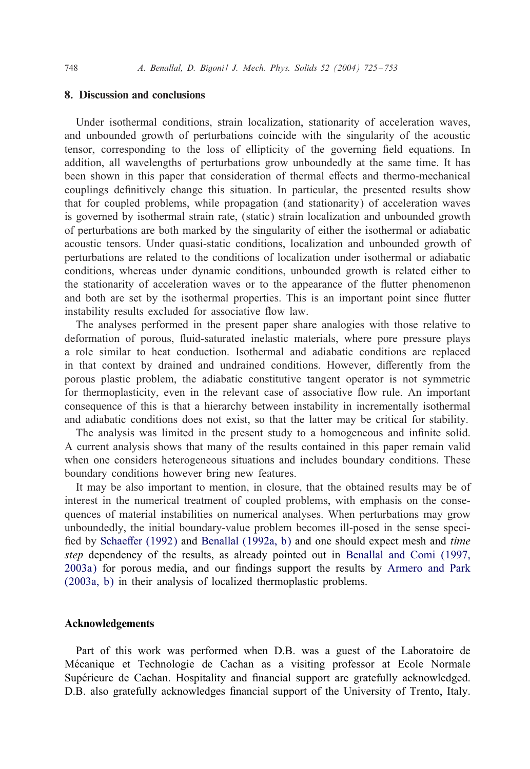# 8. Discussion and conclusions

Under isothermal conditions, strain localization, stationarity of acceleration waves, and unbounded growth of perturbations coincide with the singularity of the acoustic tensor, corresponding to the loss of ellipticity of the governing field equations. In addition, all wavelengths of perturbations grow unboundedly at the same time. It has been shown in this paper that consideration of thermal effects and thermo-mechanical couplings definitively change this situation. In particular, the presented results show that for coupled problems, while propagation (and stationarity) of acceleration waves is governed by isothermal strain rate, (static) strain localization and unbounded growth of perturbations are both marked by the singularity of either the isothermal or adiabatic acoustic tensors. Under quasi-static conditions, localization and unbounded growth of perturbations are related to the conditions of localization under isothermal or adiabatic conditions, whereas under dynamic conditions, unbounded growth is related either to the stationarity of acceleration waves or to the appearance of the flutter phenomenon and both are set by the isothermal properties. This is an important point since flutter instability results excluded for associative flow law.

The analyses performed in the present paper share analogies with those relative to deformation of porous, fluid-saturated inelastic materials, where pore pressure plays a role similar to heat conduction. Isothermal and adiabatic conditions are replaced in that context by drained and undrained conditions. However, differently from the porous plastic problem, the adiabatic constitutive tangent operator is not symmetric for thermoplasticity, even in the relevant case of associative flow rule. An important consequence of this is that a hierarchy between instability in incrementally isothermal and adiabatic conditions does not exist, so that the latter may be critical for stability.

The analysis was limited in the present study to a homogeneous and infinite solid. A current analysis shows that many of the results contained in this paper remain valid when one considers heterogeneous situations and includes boundary conditions. These boundary conditions however bring new features.

It may be also important to mention, in closure, that the obtained results may be of interest in the numerical treatment of coupled problems, with emphasis on the consequences of material instabilities on numerical analyses. When perturbations may grow unboundedly, the initial boundary-value problembecomes ill-posed in the sense speci-fied by Schaeffer (1992) and [Benallal \(1992a, b\)](#page-26-0) and one should expect mesh and *time step* dependency of the results, as already pointed out in [Benallal and Comi \(1997,](#page-26-0) [2003a\)](#page-26-0) for porous media, and our findings support the results by [Armero and Park](#page-26-0) [\(2003a, b\)](#page-26-0) in their analysis of localized thermoplastic problems.

### Acknowledgements

Part of this work was performed when D.B. was a guest of the Laboratoire de Mécanique et Technologie de Cachan as a visiting professor at Ecole Normale Supérieure de Cachan. Hospitality and financial support are gratefully acknowledged. D.B. also gratefully acknowledges financial support of the University of Trento, Italy.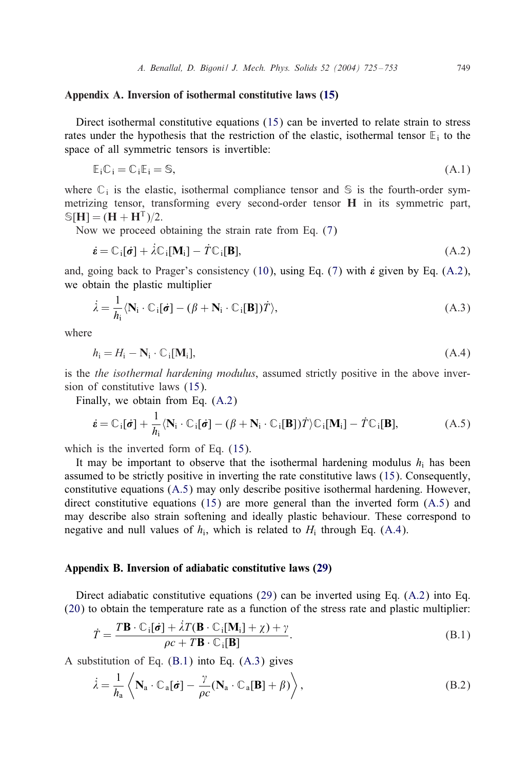#### <span id="page-24-0"></span>Appendix A. Inversion of isothermal constitutive laws [\(15\)](#page-5-0)

Direct isothermal constitutive equations [\(15\)](#page-5-0) can be inverted to relate strain to stress rates under the hypothesis that the restriction of the elastic, isothermal tensor  $E_i$  to the space of all symmetric tensors is invertible:

$$
\mathbb{E}_{i}\mathbb{C}_{i} = \mathbb{C}_{i}\mathbb{E}_{i} = \mathbb{S},\tag{A.1}
$$

where  $\mathbb{C}_i$  is the elastic, isothermal compliance tensor and  $\mathbb{S}_i$  is the fourth-order symmetrizing tensor, transforming every second-order tensor H in its symmetric part,  $\mathbb{S}[\mathbf{H}] = (\mathbf{H} + \mathbf{H}^{\mathrm{T}})/2.$ 

Now we proceed obtaining the strain rate from Eq.  $(7)$ 

$$
\dot{\mathbf{\varepsilon}} = \mathbb{C}_{\mathbf{i}}[\dot{\mathbf{\sigma}}] + \dot{\lambda}\mathbb{C}_{\mathbf{i}}[\mathbf{M}_{\mathbf{i}}] - \dot{T}\mathbb{C}_{\mathbf{i}}[\mathbf{B}],
$$
\n(A.2)

and, going back to Prager's consistency  $(10)$ , using Eq.  $(7)$  with  $\dot{\epsilon}$  given by Eq.  $(A.2)$ , we obtain the plastic multiplier

$$
\dot{\lambda} = \frac{1}{h_i} \langle \mathbf{N}_i \cdot \mathbb{C}_i[\dot{\boldsymbol{\sigma}}] - (\beta + \mathbf{N}_i \cdot \mathbb{C}_i[\mathbf{B}]) \dot{T} \rangle, \tag{A.3}
$$

where

$$
h_i = H_i - \mathbf{N}_i \cdot \mathbb{C}_i[\mathbf{M}_i],\tag{A.4}
$$

is the *the isothermal hardening modulus*, assumed strictly positive in the above inversion of constitutive laws [\(15\)](#page-5-0).

Finally, we obtain from Eq.  $(A.2)$ 

$$
\dot{\mathbf{\varepsilon}} = \mathbb{C}_{i}[\dot{\mathbf{\sigma}}] + \frac{1}{h_{i}} \langle \mathbf{N}_{i} \cdot \mathbb{C}_{i}[\dot{\mathbf{\sigma}}] - (\beta + \mathbf{N}_{i} \cdot \mathbb{C}_{i}[\mathbf{B}])\dot{T} \rangle \mathbb{C}_{i}[\mathbf{M}_{i}] - \dot{T} \mathbb{C}_{i}[\mathbf{B}],
$$
(A.5)

which is the inverted form of Eq.  $(15)$ .

It may be important to observe that the isothermal hardening modulus  $h_i$  has been assumed to be strictly positive in inverting the rate constitutive laws [\(15\)](#page-5-0). Consequently, constitutive equations (A.5) may only describe positive isothermal hardening. However, direct constitutive equations  $(15)$  are more general than the inverted form  $(A.5)$  and may describe also strain softening and ideally plastic behaviour. These correspond to negative and null values of  $h_i$ , which is related to  $H_i$  through Eq. (A.4).

#### Appendix B. Inversion of adiabatic constitutive laws [\(29\)](#page-6-0)

Direct adiabatic constitutive equations [\(29\)](#page-6-0) can be inverted using Eq. (A.2) into Eq. [\(20\)](#page-5-0) to obtain the temperature rate as a function of the stress rate and plastic multiplier:

$$
\dot{T} = \frac{T\mathbf{B} \cdot \mathbb{C}_{i}[\dot{\sigma}] + \dot{\lambda} T(\mathbf{B} \cdot \mathbb{C}_{i}[\mathbf{M}_{i}] + \chi) + \gamma}{\rho c + T\mathbf{B} \cdot \mathbb{C}_{i}[\mathbf{B}]}.
$$
\n(B.1)

A substitution of Eq. (B.1) into Eq. (A.3) gives

$$
\dot{\lambda} = \frac{1}{h_{\rm a}} \left\langle \mathbf{N}_{\rm a} \cdot \mathbb{C}_{\rm a}[\dot{\boldsymbol{\sigma}}] - \frac{\gamma}{\rho c} (\mathbf{N}_{\rm a} \cdot \mathbb{C}_{\rm a}[\mathbf{B}] + \beta) \right\rangle, \tag{B.2}
$$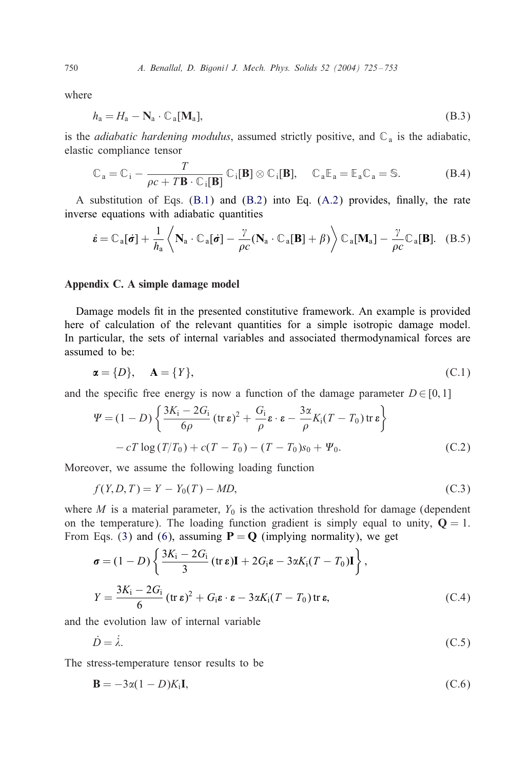where

$$
h_{\rm a} = H_{\rm a} - \mathbf{N}_{\rm a} \cdot \mathbb{C}_{\rm a} [\mathbf{M}_{\rm a}], \tag{B.3}
$$

is the *adiabatic hardening modulus*, assumed strictly positive, and  $\mathbb{C}_a$  is the adiabatic, elastic compliance tensor

$$
\mathbb{C}_{a} = \mathbb{C}_{i} - \frac{T}{\rho c + T \mathbf{B} \cdot \mathbb{C}_{i}[\mathbf{B}]} \mathbb{C}_{i}[\mathbf{B}] \otimes \mathbb{C}_{i}[\mathbf{B}], \quad \mathbb{C}_{a} \mathbb{E}_{a} = \mathbb{E}_{a} \mathbb{C}_{a} = \mathbb{S}.
$$
 (B.4)

A substitution of Eqs.  $(B.1)$  and  $(B.2)$  into Eq.  $(A.2)$  provides, finally, the rate inverse equations with adiabatic quantities

$$
\dot{\mathbf{\varepsilon}} = \mathbb{C}_{\mathbf{a}}[\dot{\boldsymbol{\sigma}}] + \frac{1}{h_{\mathbf{a}}} \left\langle \mathbf{N}_{\mathbf{a}} \cdot \mathbb{C}_{\mathbf{a}}[\dot{\boldsymbol{\sigma}}] - \frac{\gamma}{\rho c} (\mathbf{N}_{\mathbf{a}} \cdot \mathbb{C}_{\mathbf{a}}[\mathbf{B}] + \beta) \right\rangle \mathbb{C}_{\mathbf{a}}[\mathbf{M}_{\mathbf{a}}] - \frac{\gamma}{\rho c} \mathbb{C}_{\mathbf{a}}[\mathbf{B}].
$$
 (B.5)

#### Appendix C. A simple damage model

Damage models fit in the presented constitutive framework. An example is provided here of calculation of the relevant quantities for a simple isotropic damage model. In particular, the sets of internal variables and associated thermodynamical forces are assumed to be:

$$
\mathbf{\alpha} = \{D\}, \quad \mathbf{A} = \{Y\}, \tag{C.1}
$$

and the specific free energy is now a function of the damage parameter  $D \in [0, 1]$ 

$$
\Psi = (1 - D) \left\{ \frac{3K_i - 2G_i}{6\rho} (\operatorname{tr} \boldsymbol{\varepsilon})^2 + \frac{G_i}{\rho} \boldsymbol{\varepsilon} \cdot \boldsymbol{\varepsilon} - \frac{3\alpha}{\rho} K_i (T - T_0) \operatorname{tr} \boldsymbol{\varepsilon} \right\}
$$
  
- 
$$
- cT \log (T/T_0) + c(T - T_0) - (T - T_0)s_0 + \Psi_0.
$$
 (C.2)

Moreover, we assume the following loading function

$$
f(Y, D, T) = Y - Y_0(T) - MD,
$$
\n(C.3)

where M is a material parameter,  $Y_0$  is the activation threshold for damage (dependent on the temperature). The loading function gradient is simply equal to unity,  $Q = 1$ . From Eqs. [\(3\)](#page-3-0) and [\(6\)](#page-4-0), assuming  $P = Q$  (implying normality), we get

$$
\boldsymbol{\sigma} = (1 - D) \left\{ \frac{3K_i - 2G_i}{3} (\text{tr } \boldsymbol{\varepsilon}) \mathbf{I} + 2G_i \boldsymbol{\varepsilon} - 3\alpha K_i (T - T_0) \mathbf{I} \right\},
$$
  

$$
Y = \frac{3K_i - 2G_i}{6} (\text{tr } \boldsymbol{\varepsilon})^2 + G_i \boldsymbol{\varepsilon} \cdot \boldsymbol{\varepsilon} - 3\alpha K_i (T - T_0) \text{tr } \boldsymbol{\varepsilon},
$$
 (C.4)

and the evolution law of internal variable

$$
\dot{D} = \dot{\lambda}.\tag{C.5}
$$

The stress-temperature tensor results to be

$$
\mathbf{B} = -3\alpha(1 - D)K_i\mathbf{I},\tag{C.6}
$$

<span id="page-25-0"></span>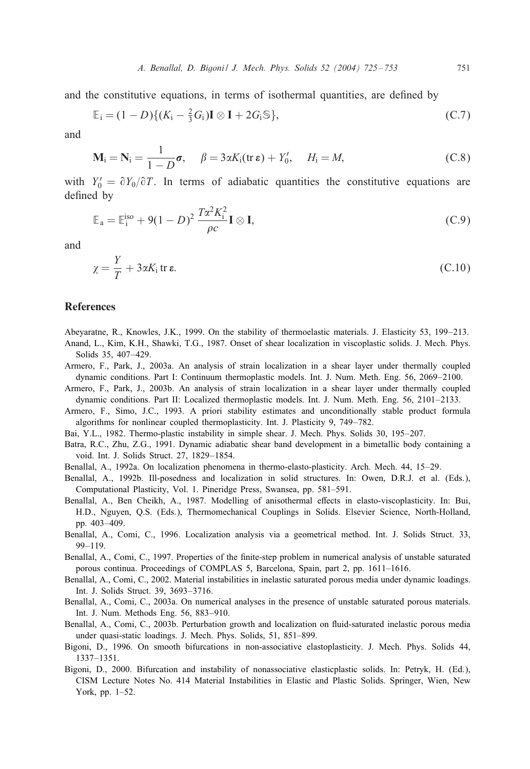<span id="page-26-0"></span>and the constitutive equations, in terms of isothermal quantities, are defined by

$$
\mathbb{E}_{\mathbf{i}} = (1 - D)\{(K_{\mathbf{i}} - \frac{2}{3}G_{\mathbf{i}})\mathbf{I} \otimes \mathbf{I} + 2G_{\mathbf{i}}\mathbb{S}\},\tag{C.7}
$$

and

$$
\mathbf{M}_{\mathbf{i}} = \mathbf{N}_{\mathbf{i}} = \frac{1}{1 - D} \boldsymbol{\sigma}, \quad \beta = 3\alpha K_{\mathbf{i}} (\text{tr } \boldsymbol{\varepsilon}) + Y_{0}', \quad H_{\mathbf{i}} = M,
$$
\n(C.8)

with  $Y_0' = \partial Y_0 / \partial T$ . In terms of adiabatic quantities the constitutive equations are defined by

$$
\mathbb{E}_{\mathbf{a}} = \mathbb{E}_{\mathbf{i}}^{\text{iso}} + 9(1 - D)^2 \frac{T\alpha^2 K_{\mathbf{i}}^2}{\rho c} \mathbf{I} \otimes \mathbf{I},\tag{C.9}
$$

and

$$
\chi = \frac{Y}{T} + 3\alpha K_i \operatorname{tr} \boldsymbol{\varepsilon}.\tag{C.10}
$$

#### References

Abeyaratne, R., Knowles, J.K., 1999. On the stability of thermoelastic materials. J. Elasticity 53, 199–213. Anand, L., Kim, K.H., Shawki, T.G., 1987. Onset of shear localization in viscoplastic solids. J. Mech. Phys.

- Solids 35, 407–429.
- Armero, F., Park, J., 2003a. An analysis of strain localization in a shear layer under thermally coupled dynamic conditions. Part I: Continuum thermoplastic models. Int. J. Num. Meth. Eng. 56, 2069–2100.
- Armero, F., Park, J., 2003b. An analysis of strain localization in a shear layer under thermally coupled dynamic conditions. Part II: Localized thermoplastic models. Int. J. Num. Meth. Eng. 56, 2101–2133.
- Armero, F., Simo, J.C., 1993. A priori stability estimates and unconditionally stable product formula algorithms for nonlinear coupled thermoplasticity. Int. J. Plasticity 9, 749–782.
- Bai, Y.L., 1982. Thermo-plastic instability in simple shear. J. Mech. Phys. Solids 30, 195–207.
- Batra, R.C., Zhu, Z.G., 1991. Dynamic adiabatic shear band development in a bimetallic body containing a void. Int. J. Solids Struct. 27, 1829–1854.
- Benallal, A., 1992a. On localization phenomena in thermo-elasto-plasticity. Arch. Mech. 44, 15–29.
- Benallal, A., 1992b. Ill-posedness and localization in solid structures. In: Owen, D.R.J. et al. (Eds.), Computational Plasticity, Vol. 1. Pineridge Press, Swansea, pp. 581–591.
- Benallal, A., Ben Cheikh, A., 1987. Modelling of anisothermal effects in elasto-viscoplasticity. In: Bui, H.D., Nguyen, Q.S. (Eds.), Thermomechanical Couplings in Solids. Elsevier Science, North-Holland, pp. 403–409.
- Benallal, A., Comi, C., 1996. Localization analysis via a geometrical method. Int. J. Solids Struct. 33, 99–119.
- Benallal, A., Comi, C., 1997. Properties of the finite-step problem in numerical analysis of unstable saturated porous continua. Proceedings of COMPLAS 5, Barcelona, Spain, part 2, pp. 1611–1616.
- Benallal, A., Comi, C., 2002. Material instabilities in inelastic saturated porous media under dynamic loadings. Int. J. Solids Struct. 39, 3693–3716.
- Benallal, A., Comi, C., 2003a. On numerical analyses in the presence of unstable saturated porous materials. Int. J. Num. Methods Eng. 56, 883–910.
- Benallal, A., Comi, C., 2003b. Perturbation growth and localization on fluid-saturated inelastic porous media under quasi-static loadings. J. Mech. Phys. Solids, 51, 851–899.
- Bigoni, D., 1996. On smooth bifurcations in non-associative elastoplasticity. J. Mech. Phys. Solids 44, 1337–1351.
- Bigoni, D., 2000. Bifurcation and instability of nonassociative elasticplastic solids. In: Petryk, H. (Ed.), CISM Lecture Notes No. 414 Material Instabilities in Elastic and Plastic Solids. Springer, Wien, New York, pp. 1–52.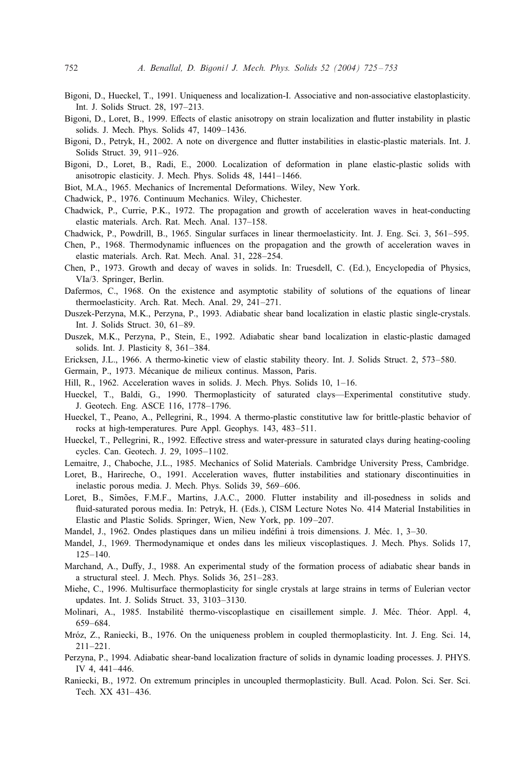- <span id="page-27-0"></span>Bigoni, D., Hueckel, T., 1991. Uniqueness and localization-I. Associative and non-associative elastoplasticity. Int. J. Solids Struct. 28, 197–213.
- Bigoni, D., Loret, B., 1999. Effects of elastic anisotropy on strain localization and flutter instability in plastic solids. J. Mech. Phys. Solids 47, 1409–1436.
- Bigoni, D., Petryk, H., 2002. A note on divergence and flutter instabilities in elastic-plastic materials. Int. J. Solids Struct. 39, 911–926.
- Bigoni, D., Loret, B., Radi, E., 2000. Localization of deformation in plane elastic-plastic solids with anisotropic elasticity. J. Mech. Phys. Solids 48, 1441–1466.
- Biot, M.A., 1965. Mechanics of Incremental Deformations. Wiley, New York.
- Chadwick, P., 1976. Continuum Mechanics. Wiley, Chichester.
- Chadwick, P., Currie, P.K., 1972. The propagation and growth of acceleration waves in heat-conducting elastic materials. Arch. Rat. Mech. Anal. 137–158.
- Chadwick, P., Powdrill, B., 1965. Singular surfaces in linear thermoelasticity. Int. J. Eng. Sci. 3, 561–595.
- Chen, P., 1968. Thermodynamic influences on the propagation and the growth of acceleration waves in elastic materials. Arch. Rat. Mech. Anal. 31, 228–254.
- Chen, P., 1973. Growth and decay of waves in solids. In: Truesdell, C. (Ed.), Encyclopedia of Physics, VIa/3. Springer, Berlin.
- Dafermos, C., 1968. On the existence and asymptotic stability of solutions of the equations of linear thermoelasticity. Arch. Rat. Mech. Anal. 29, 241–271.
- Duszek-Perzyna, M.K., Perzyna, P., 1993. Adiabatic shear band localization in elastic plastic single-crystals. Int. J. Solids Struct. 30, 61–89.
- Duszek, M.K., Perzyna, P., Stein, E., 1992. Adiabatic shear band localization in elastic-plastic damaged solids. Int. J. Plasticity 8, 361–384.
- Ericksen, J.L., 1966. A thermo-kinetic view of elastic stability theory. Int. J. Solids Struct. 2, 573–580.
- Germain, P., 1973. Mécanique de milieux continus. Masson, Paris.
- Hill, R., 1962. Acceleration waves in solids. J. Mech. Phys. Solids 10, 1–16.
- Hueckel, T., Baldi, G., 1990. Thermoplasticity of saturated clays—Experimental constitutive study. J. Geotech. Eng. ASCE 116, 1778–1796.
- Hueckel, T., Peano, A., Pellegrini, R., 1994. A thermo-plastic constitutive law for brittle-plastic behavior of rocks at high-temperatures. Pure Appl. Geophys. 143, 483–511.
- Hueckel, T., Pellegrini, R., 1992. Effective stress and water-pressure in saturated clays during heating-cooling cycles. Can. Geotech. J. 29, 1095–1102.
- Lemaitre, J., Chaboche, J.L., 1985. Mechanics of Solid Materials. Cambridge University Press, Cambridge.
- Loret, B., Harireche, O., 1991. Acceleration waves, flutter instabilities and stationary discontinuities in inelastic porous media. J. Mech. Phys. Solids 39, 569–606.
- Loret, B., Simões, F.M.F., Martins, J.A.C., 2000. Flutter instability and ill-posedness in solids and fluid-saturated porous media. In: Petryk, H. (Eds.), CISM Lecture Notes No. 414 Material Instabilities in Elastic and Plastic Solids. Springer, Wien, New York, pp. 109 –207.
- Mandel, J., 1962. Ondes plastiques dans un milieu indéfini à trois dimensions. J. Méc. 1, 3–30.
- Mandel, J., 1969. Thermodynamique et ondes dans les milieux viscoplastiques. J. Mech. Phys. Solids 17, 125–140.
- Marchand, A., Duffy, J., 1988. An experimental study of the formation process of adiabatic shear bands in a structural steel. J. Mech. Phys. Solids 36, 251–283.
- Miehe, C., 1996. Multisurface thermoplasticity for single crystals at large strains in terms of Eulerian vector updates. Int. J. Solids Struct. 33, 3103–3130.
- Molinari, A., 1985. Instabilité thermo-viscoplastique en cisaillement simple. J. Méc. Théor. Appl. 4, 659–684.
- Mróz, Z., Raniecki, B., 1976. On the uniqueness problem in coupled thermoplasticity. Int. J. Eng. Sci. 14, 211–221.
- Perzyna, P., 1994. Adiabatic shear-band localization fracture of solids in dynamic loading processes. J. PHYS. IV 4, 441–446.
- Raniecki, B., 1972. On extremum principles in uncoupled thermoplasticity. Bull. Acad. Polon. Sci. Ser. Sci. Tech. XX 431-436.